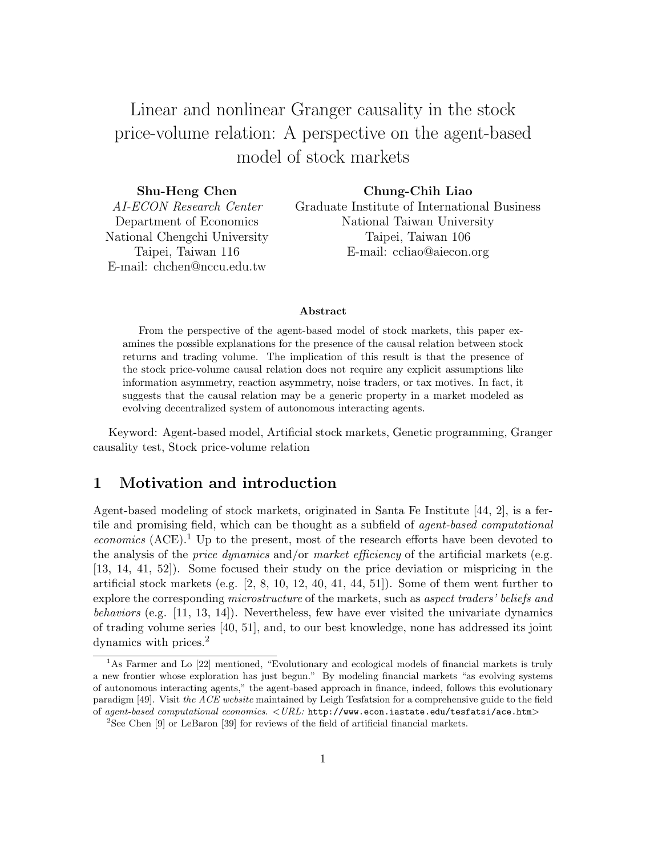Linear and nonlinear Granger causality in the stock price-volume relation: A perspective on the agent-based model of stock markets

| Shu-Heng Chen                | Chung-Chih Liao                              |
|------------------------------|----------------------------------------------|
| AI-ECON Research Center      | Graduate Institute of International Business |
| Department of Economics      | National Taiwan University                   |
| National Chengchi University | Taipei, Taiwan 106                           |
| Taipei, Taiwan 116           | E-mail: ccliao@aiecon.org                    |
| E-mail: chchen@nccu.edu.tw   |                                              |

#### Abstract

From the perspective of the agent-based model of stock markets, this paper examines the possible explanations for the presence of the causal relation between stock returns and trading volume. The implication of this result is that the presence of the stock price-volume causal relation does not require any explicit assumptions like information asymmetry, reaction asymmetry, noise traders, or tax motives. In fact, it suggests that the causal relation may be a generic property in a market modeled as evolving decentralized system of autonomous interacting agents.

Keyword: Agent-based model, Artificial stock markets, Genetic programming, Granger causality test, Stock price-volume relation

# 1 Motivation and introduction

Agent-based modeling of stock markets, originated in Santa Fe Institute [44, 2], is a fertile and promising field, which can be thought as a subfield of agent-based computational  $economics$  (ACE).<sup>1</sup> Up to the present, most of the research efforts have been devoted to the analysis of the *price dynamics* and/or *market efficiency* of the artificial markets (e.g. [13, 14, 41, 52]). Some focused their study on the price deviation or mispricing in the artificial stock markets (e.g.  $[2, 8, 10, 12, 40, 41, 44, 51]$ ). Some of them went further to explore the corresponding *microstructure* of the markets, such as *aspect traders' beliefs and* behaviors (e.g. [11, 13, 14]). Nevertheless, few have ever visited the univariate dynamics of trading volume series [40, 51], and, to our best knowledge, none has addressed its joint dynamics with prices.<sup>2</sup>

<sup>&</sup>lt;sup>1</sup>As Farmer and Lo [22] mentioned, "Evolutionary and ecological models of financial markets is truly a new frontier whose exploration has just begun." By modeling financial markets "as evolving systems of autonomous interacting agents," the agent-based approach in finance, indeed, follows this evolutionary paradigm [49]. Visit the ACE website maintained by Leigh Tesfatsion for a comprehensive guide to the field of agent-based computational economics. <URL: http://www.econ.iastate.edu/tesfatsi/ace.htm>

<sup>2</sup>See Chen [9] or LeBaron [39] for reviews of the field of artificial financial markets.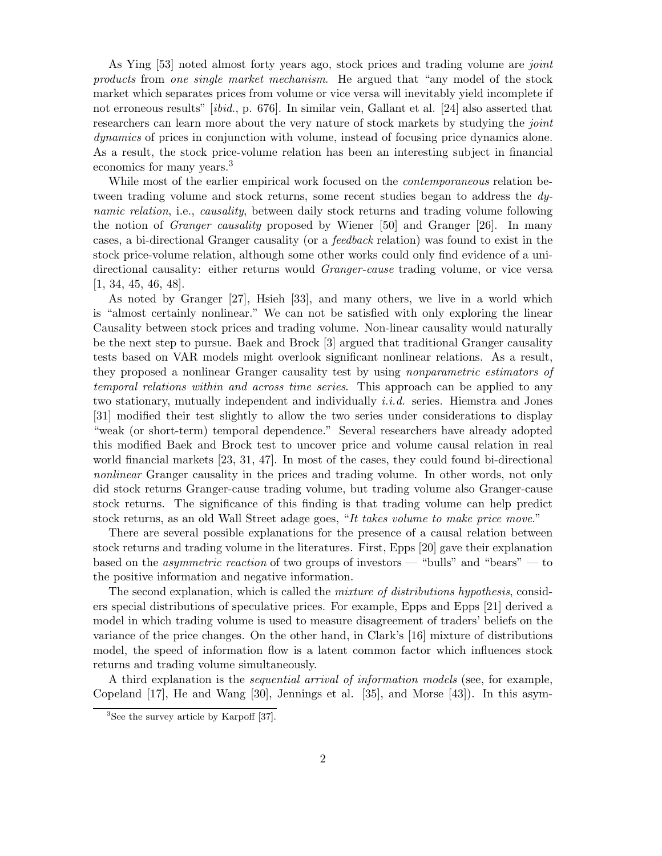As Ying [53] noted almost forty years ago, stock prices and trading volume are *joint* products from one single market mechanism. He argued that "any model of the stock market which separates prices from volume or vice versa will inevitably yield incomplete if not erroneous results" [ibid., p. 676]. In similar vein, Gallant et al. [24] also asserted that researchers can learn more about the very nature of stock markets by studying the *joint* dynamics of prices in conjunction with volume, instead of focusing price dynamics alone. As a result, the stock price-volume relation has been an interesting subject in financial economics for many years.<sup>3</sup>

While most of the earlier empirical work focused on the *contemporaneous* relation between trading volume and stock returns, some recent studies began to address the dynamic relation, i.e., causality, between daily stock returns and trading volume following the notion of Granger causality proposed by Wiener [50] and Granger [26]. In many cases, a bi-directional Granger causality (or a feedback relation) was found to exist in the stock price-volume relation, although some other works could only find evidence of a unidirectional causality: either returns would Granger-cause trading volume, or vice versa [1, 34, 45, 46, 48].

As noted by Granger [27], Hsieh [33], and many others, we live in a world which is "almost certainly nonlinear." We can not be satisfied with only exploring the linear Causality between stock prices and trading volume. Non-linear causality would naturally be the next step to pursue. Baek and Brock [3] argued that traditional Granger causality tests based on VAR models might overlook significant nonlinear relations. As a result, they proposed a nonlinear Granger causality test by using nonparametric estimators of temporal relations within and across time series. This approach can be applied to any two stationary, mutually independent and individually  $i.i.d.$  series. Hiemstra and Jones [31] modified their test slightly to allow the two series under considerations to display "weak (or short-term) temporal dependence." Several researchers have already adopted this modified Baek and Brock test to uncover price and volume causal relation in real world financial markets [23, 31, 47]. In most of the cases, they could found bi-directional nonlinear Granger causality in the prices and trading volume. In other words, not only did stock returns Granger-cause trading volume, but trading volume also Granger-cause stock returns. The significance of this finding is that trading volume can help predict stock returns, as an old Wall Street adage goes, "It takes volume to make price move."

There are several possible explanations for the presence of a causal relation between stock returns and trading volume in the literatures. First, Epps [20] gave their explanation based on the *asymmetric reaction* of two groups of investors — "bulls" and "bears" — to the positive information and negative information.

The second explanation, which is called the *mixture of distributions hypothesis*, considers special distributions of speculative prices. For example, Epps and Epps [21] derived a model in which trading volume is used to measure disagreement of traders' beliefs on the variance of the price changes. On the other hand, in Clark's [16] mixture of distributions model, the speed of information flow is a latent common factor which influences stock returns and trading volume simultaneously.

A third explanation is the sequential arrival of information models (see, for example, Copeland [17], He and Wang [30], Jennings et al. [35], and Morse [43]). In this asym-

<sup>3</sup>See the survey article by Karpoff [37].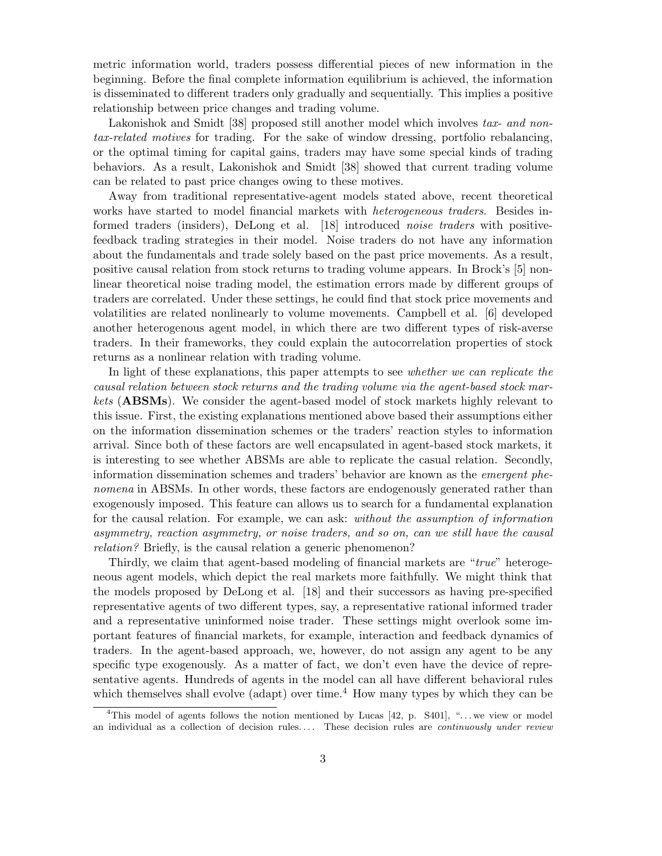metric information world, traders possess differential pieces of new information in the beginning. Before the final complete information equilibrium is achieved, the information is disseminated to different traders only gradually and sequentially. This implies a positive relationship between price changes and trading volume.

Lakonishok and Smidt [38] proposed still another model which involves tax- and nontax-related motives for trading. For the sake of window dressing, portfolio rebalancing, or the optimal timing for capital gains, traders may have some special kinds of trading behaviors. As a result, Lakonishok and Smidt [38] showed that current trading volume can be related to past price changes owing to these motives.

Away from traditional representative-agent models stated above, recent theoretical works have started to model financial markets with *heterogeneous traders*. Besides informed traders (insiders), DeLong et al. [18] introduced noise traders with positivefeedback trading strategies in their model. Noise traders do not have any information about the fundamentals and trade solely based on the past price movements. As a result, positive causal relation from stock returns to trading volume appears. In Brock's [5] nonlinear theoretical noise trading model, the estimation errors made by different groups of traders are correlated. Under these settings, he could find that stock price movements and volatilities are related nonlinearly to volume movements. Campbell et al. [6] developed another heterogenous agent model, in which there are two different types of risk-averse traders. In their frameworks, they could explain the autocorrelation properties of stock returns as a nonlinear relation with trading volume.

In light of these explanations, this paper attempts to see whether we can replicate the causal relation between stock returns and the trading volume via the agent-based stock markets (ABSMs). We consider the agent-based model of stock markets highly relevant to this issue. First, the existing explanations mentioned above based their assumptions either on the information dissemination schemes or the traders' reaction styles to information arrival. Since both of these factors are well encapsulated in agent-based stock markets, it is interesting to see whether ABSMs are able to replicate the casual relation. Secondly, information dissemination schemes and traders' behavior are known as the emergent phenomena in ABSMs. In other words, these factors are endogenously generated rather than exogenously imposed. This feature can allows us to search for a fundamental explanation for the causal relation. For example, we can ask: without the assumption of information asymmetry, reaction asymmetry, or noise traders, and so on, can we still have the causal relation? Briefly, is the causal relation a generic phenomenon?

Thirdly, we claim that agent-based modeling of financial markets are "true" heterogeneous agent models, which depict the real markets more faithfully. We might think that the models proposed by DeLong et al. [18] and their successors as having pre-specified representative agents of two different types, say, a representative rational informed trader and a representative uninformed noise trader. These settings might overlook some important features of financial markets, for example, interaction and feedback dynamics of traders. In the agent-based approach, we, however, do not assign any agent to be any specific type exogenously. As a matter of fact, we don't even have the device of representative agents. Hundreds of agents in the model can all have different behavioral rules which themselves shall evolve (adapt) over time.<sup>4</sup> How many types by which they can be

<sup>&</sup>lt;sup>4</sup>This model of agents follows the notion mentioned by Lucas [42, p.  $\text{S401}$ ], "... we view or model an individual as a collection of decision rules.... These decision rules are *continuously under review*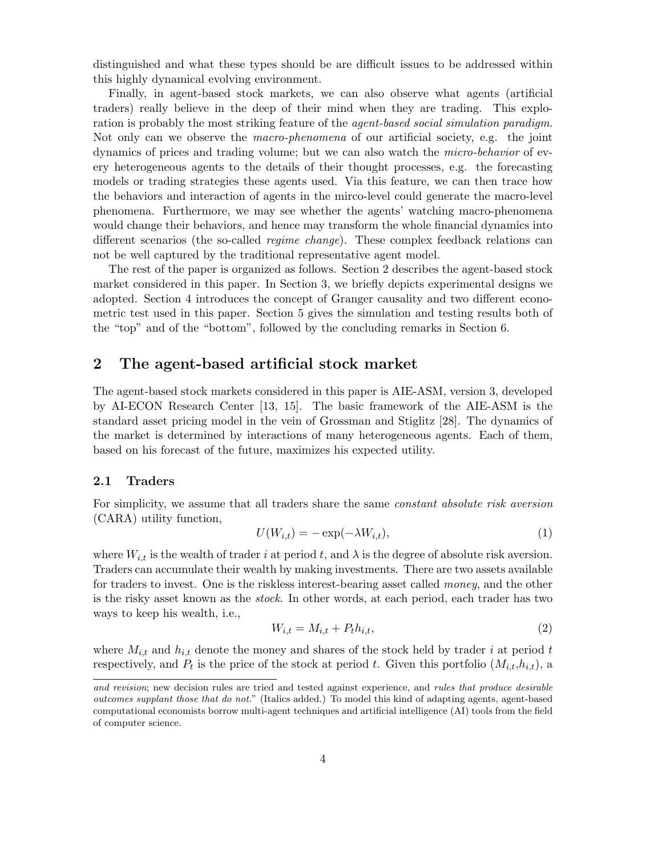distinguished and what these types should be are difficult issues to be addressed within this highly dynamical evolving environment.

Finally, in agent-based stock markets, we can also observe what agents (artificial traders) really believe in the deep of their mind when they are trading. This exploration is probably the most striking feature of the *agent-based social simulation paradigm*. Not only can we observe the macro-phenomena of our artificial society, e.g. the joint dynamics of prices and trading volume; but we can also watch the micro-behavior of every heterogeneous agents to the details of their thought processes, e.g. the forecasting models or trading strategies these agents used. Via this feature, we can then trace how the behaviors and interaction of agents in the mirco-level could generate the macro-level phenomena. Furthermore, we may see whether the agents' watching macro-phenomena would change their behaviors, and hence may transform the whole financial dynamics into different scenarios (the so-called *regime change*). These complex feedback relations can not be well captured by the traditional representative agent model.

The rest of the paper is organized as follows. Section 2 describes the agent-based stock market considered in this paper. In Section 3, we briefly depicts experimental designs we adopted. Section 4 introduces the concept of Granger causality and two different econometric test used in this paper. Section 5 gives the simulation and testing results both of the "top" and of the "bottom", followed by the concluding remarks in Section 6.

# 2 The agent-based artificial stock market

The agent-based stock markets considered in this paper is AIE-ASM, version 3, developed by AI-ECON Research Center [13, 15]. The basic framework of the AIE-ASM is the standard asset pricing model in the vein of Grossman and Stiglitz [28]. The dynamics of the market is determined by interactions of many heterogeneous agents. Each of them, based on his forecast of the future, maximizes his expected utility.

## 2.1 Traders

For simplicity, we assume that all traders share the same constant absolute risk aversion (CARA) utility function,

$$
U(W_{i,t}) = -\exp(-\lambda W_{i,t}),\tag{1}
$$

where  $W_{i,t}$  is the wealth of trader i at period t, and  $\lambda$  is the degree of absolute risk aversion. Traders can accumulate their wealth by making investments. There are two assets available for traders to invest. One is the riskless interest-bearing asset called money, and the other is the risky asset known as the stock. In other words, at each period, each trader has two ways to keep his wealth, i.e.,

$$
W_{i,t} = M_{i,t} + P_t h_{i,t},\tag{2}
$$

where  $M_{i,t}$  and  $h_{i,t}$  denote the money and shares of the stock held by trader i at period t respectively, and  $P_t$  is the price of the stock at period t. Given this portfolio  $(M_{i,t}, h_{i,t})$ , a

and revision; new decision rules are tried and tested against experience, and rules that produce desirable outcomes supplant those that do not." (Italics added.) To model this kind of adapting agents, agent-based computational economists borrow multi-agent techniques and artificial intelligence (AI) tools from the field of computer science.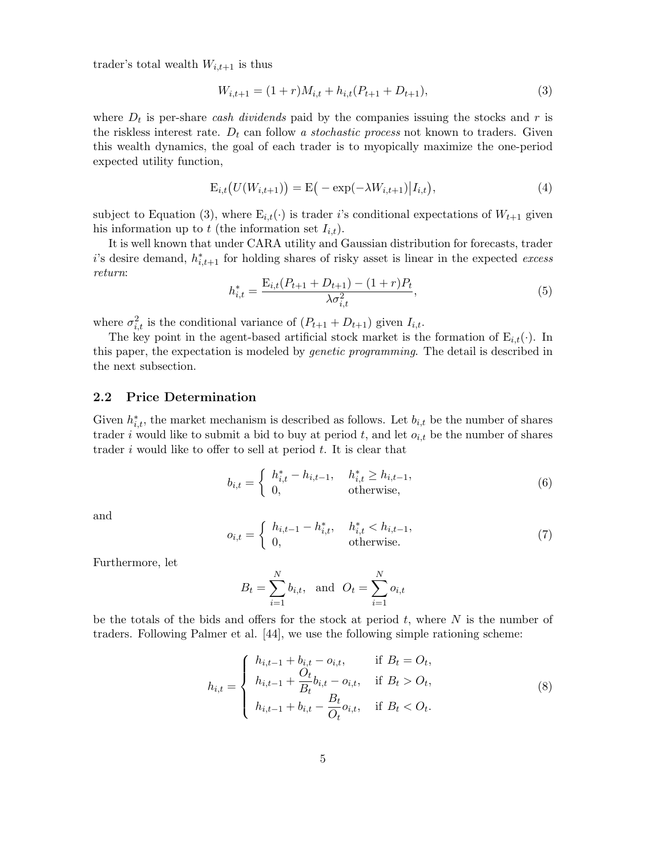trader's total wealth  $W_{i,t+1}$  is thus

$$
W_{i,t+1} = (1+r)M_{i,t} + h_{i,t}(P_{t+1} + D_{t+1}),
$$
\n(3)

where  $D_t$  is per-share cash dividends paid by the companies issuing the stocks and r is the riskless interest rate.  $D_t$  can follow a stochastic process not known to traders. Given this wealth dynamics, the goal of each trader is to myopically maximize the one-period expected utility function,

$$
E_{i,t}(U(W_{i,t+1})) = E(-\exp(-\lambda W_{i,t+1})|I_{i,t}),
$$
\n(4)

subject to Equation (3), where  $E_{i,t}(\cdot)$  is trader i's conditional expectations of  $W_{t+1}$  given his information up to t (the information set  $I_{i,t}$ ).

It is well known that under CARA utility and Gaussian distribution for forecasts, trader i's desire demand,  $h_{i,t+1}^*$  for holding shares of risky asset is linear in the expected excess return:

$$
h_{i,t}^* = \frac{\mathcal{E}_{i,t}(P_{t+1} + D_{t+1}) - (1+r)P_t}{\lambda \sigma_{i,t}^2},\tag{5}
$$

where  $\sigma_{i,t}^2$  is the conditional variance of  $(P_{t+1} + D_{t+1})$  given  $I_{i,t}$ .

The key point in the agent-based artificial stock market is the formation of  $E_{i,t}(\cdot)$ . In this paper, the expectation is modeled by genetic programming. The detail is described in the next subsection.

#### 2.2 Price Determination

Given  $h_{i,t}^*$ , the market mechanism is described as follows. Let  $b_{i,t}$  be the number of shares trader i would like to submit a bid to buy at period t, and let  $o_{i,t}$  be the number of shares trader i would like to offer to sell at period  $t$ . It is clear that

$$
b_{i,t} = \begin{cases} h_{i,t}^* - h_{i,t-1}, & h_{i,t}^* \ge h_{i,t-1}, \\ 0, & \text{otherwise}, \end{cases}
$$
 (6)

and

$$
o_{i,t} = \begin{cases} h_{i,t-1} - h_{i,t}^*, & h_{i,t}^* < h_{i,t-1}, \\ 0, & \text{otherwise.} \end{cases}
$$
 (7)

Furthermore, let

$$
B_t = \sum_{i=1}^{N} b_{i,t}
$$
, and  $O_t = \sum_{i=1}^{N} o_{i,t}$ 

be the totals of the bids and offers for the stock at period  $t$ , where  $N$  is the number of traders. Following Palmer et al. [44], we use the following simple rationing scheme:

$$
h_{i,t} = \begin{cases} h_{i,t-1} + b_{i,t} - o_{i,t}, & \text{if } B_t = O_t, \\ h_{i,t-1} + \frac{O_t}{B_t} b_{i,t} - o_{i,t}, & \text{if } B_t > O_t, \\ h_{i,t-1} + b_{i,t} - \frac{B_t}{O_t} o_{i,t}, & \text{if } B_t < O_t. \end{cases}
$$
 (8)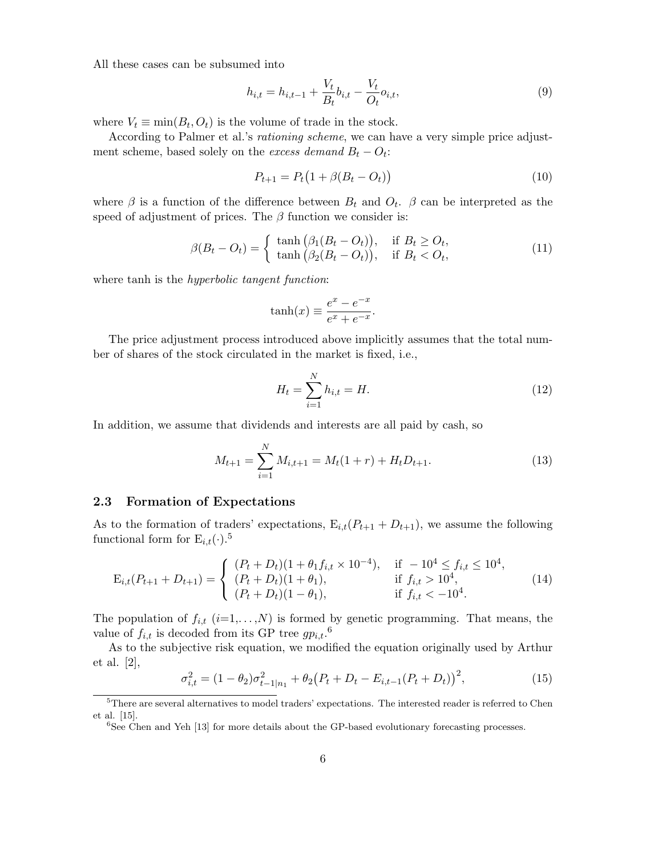All these cases can be subsumed into

$$
h_{i,t} = h_{i,t-1} + \frac{V_t}{B_t} b_{i,t} - \frac{V_t}{O_t} o_{i,t},
$$
\n(9)

where  $V_t \equiv \min(B_t, O_t)$  is the volume of trade in the stock.

According to Palmer et al.'s rationing scheme, we can have a very simple price adjustment scheme, based solely on the *excess demand*  $B_t - O_t$ :

$$
P_{t+1} = P_t (1 + \beta (B_t - O_t))
$$
\n(10)

where  $\beta$  is a function of the difference between  $B_t$  and  $O_t$ .  $\beta$  can be interpreted as the speed of adjustment of prices. The  $\beta$  function we consider is:

$$
\beta(B_t - O_t) = \begin{cases} \tanh\left(\beta_1(B_t - O_t)\right), & \text{if } B_t \ge O_t, \\ \tanh\left(\beta_2(B_t - O_t)\right), & \text{if } B_t < O_t, \end{cases}
$$
(11)

where tanh is the *hyperbolic tangent function*:

$$
\tanh(x) \equiv \frac{e^x - e^{-x}}{e^x + e^{-x}}.
$$

The price adjustment process introduced above implicitly assumes that the total number of shares of the stock circulated in the market is fixed, i.e.,

$$
H_t = \sum_{i=1}^{N} h_{i,t} = H.
$$
\n(12)

In addition, we assume that dividends and interests are all paid by cash, so

$$
M_{t+1} = \sum_{i=1}^{N} M_{i,t+1} = M_t(1+r) + H_t D_{t+1}.
$$
\n(13)

#### 2.3 Formation of Expectations

As to the formation of traders' expectations,  $E_{i,t}(P_{t+1} + D_{t+1})$ , we assume the following functional form for  $E_{i,t}(\cdot)$ .<sup>5</sup>

$$
E_{i,t}(P_{t+1} + D_{t+1}) = \begin{cases} (P_t + D_t)(1 + \theta_1 f_{i,t} \times 10^{-4}), & \text{if } -10^4 \le f_{i,t} \le 10^4, \\ (P_t + D_t)(1 + \theta_1), & \text{if } f_{i,t} > 10^4, \\ (P_t + D_t)(1 - \theta_1), & \text{if } f_{i,t} < -10^4. \end{cases}
$$
(14)

The population of  $f_{i,t}$  ( $i=1,\ldots,N$ ) is formed by genetic programming. That means, the value of  $f_{i,t}$  is decoded from its GP tree  $gp_{i,t}$ .<sup>6</sup>

As to the subjective risk equation, we modified the equation originally used by Arthur et al. [2],

$$
\sigma_{i,t}^2 = (1 - \theta_2)\sigma_{t-1|n_1}^2 + \theta_2(P_t + D_t - E_{i,t-1}(P_t + D_t))^2, \tag{15}
$$

<sup>5</sup>There are several alternatives to model traders' expectations. The interested reader is referred to Chen et al. [15].

<sup>&</sup>lt;sup>6</sup>See Chen and Yeh [13] for more details about the GP-based evolutionary forecasting processes.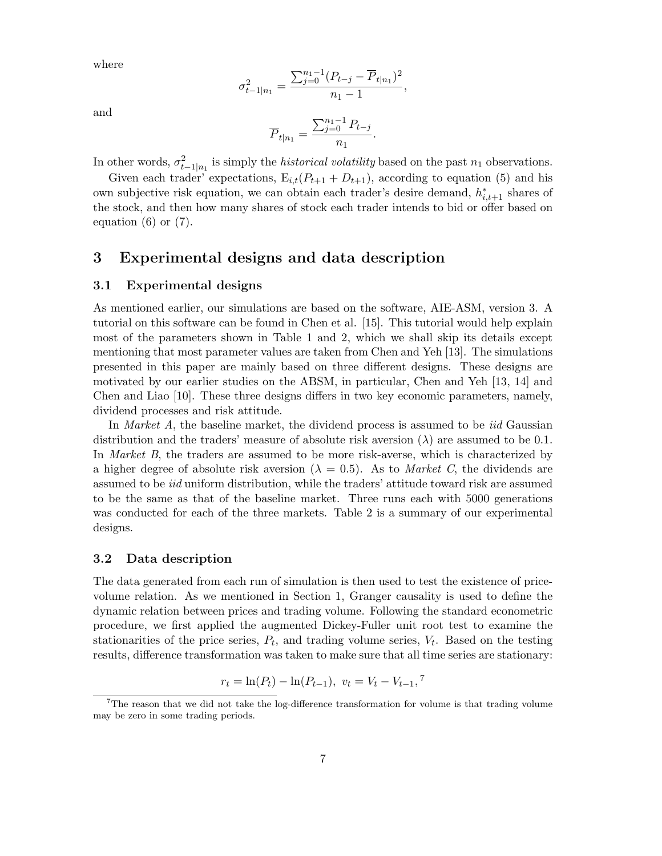where

$$
\sigma_{t-1|n_1}^2 = \frac{\sum_{j=0}^{n_1-1} (P_{t-j} - \overline{P}_{t|n_1})^2}{n_1 - 1},
$$

and

$$
\overline{P}_{t|n_1} = \frac{\sum_{j=0}^{n_1-1} P_{t-j}}{n_1}.
$$

In other words,  $\sigma_{t-1|n_1}^2$  is simply the *historical volatility* based on the past  $n_1$  observations.

Given each trader' expectations,  $E_{i,t}(P_{t+1} + D_{t+1})$ , according to equation (5) and his own subjective risk equation, we can obtain each trader's desire demand,  $h_{i,t+1}^*$  shares of the stock, and then how many shares of stock each trader intends to bid or offer based on equation  $(6)$  or  $(7)$ .

# 3 Experimental designs and data description

## 3.1 Experimental designs

As mentioned earlier, our simulations are based on the software, AIE-ASM, version 3. A tutorial on this software can be found in Chen et al. [15]. This tutorial would help explain most of the parameters shown in Table 1 and 2, which we shall skip its details except mentioning that most parameter values are taken from Chen and Yeh [13]. The simulations presented in this paper are mainly based on three different designs. These designs are motivated by our earlier studies on the ABSM, in particular, Chen and Yeh [13, 14] and Chen and Liao [10]. These three designs differs in two key economic parameters, namely, dividend processes and risk attitude.

In *Market A*, the baseline market, the dividend process is assumed to be *iid* Gaussian distribution and the traders' measure of absolute risk aversion  $(\lambda)$  are assumed to be 0.1. In Market B, the traders are assumed to be more risk-averse, which is characterized by a higher degree of absolute risk aversion ( $\lambda = 0.5$ ). As to *Market C*, the dividends are assumed to be iid uniform distribution, while the traders' attitude toward risk are assumed to be the same as that of the baseline market. Three runs each with 5000 generations was conducted for each of the three markets. Table 2 is a summary of our experimental designs.

## 3.2 Data description

The data generated from each run of simulation is then used to test the existence of pricevolume relation. As we mentioned in Section 1, Granger causality is used to define the dynamic relation between prices and trading volume. Following the standard econometric procedure, we first applied the augmented Dickey-Fuller unit root test to examine the stationarities of the price series,  $P_t$ , and trading volume series,  $V_t$ . Based on the testing results, difference transformation was taken to make sure that all time series are stationary:

$$
r_t = \ln(P_t) - \ln(P_{t-1}), \ v_t = V_t - V_{t-1},^7
$$

<sup>&</sup>lt;sup>7</sup>The reason that we did not take the log-difference transformation for volume is that trading volume may be zero in some trading periods.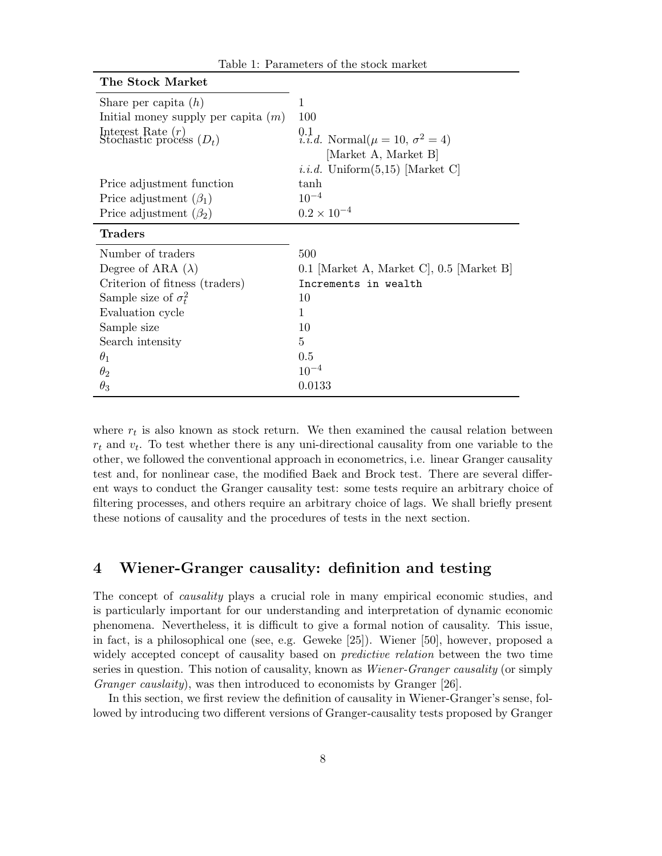| The Stock Market                                  |                                                                         |
|---------------------------------------------------|-------------------------------------------------------------------------|
| Share per capita $(h)$                            | 1                                                                       |
| Initial money supply per capita $(m)$             | 100                                                                     |
| Interest Rate $(r)$<br>Stochastic process $(D_t)$ | 0.1<br>i.i.d. Normal $(\mu = 10, \sigma^2 = 4)$<br>[Market A, Market B] |
|                                                   | <i>i.i.d.</i> Uniform $(5,15)$ [Market C]                               |
| Price adjustment function                         | tanh                                                                    |
| Price adjustment $(\beta_1)$                      | $10^{-4}$                                                               |
| Price adjustment $(\beta_2)$                      | $0.2 \times 10^{-4}$                                                    |
| <b>Traders</b>                                    |                                                                         |
| Number of traders                                 | 500                                                                     |
| Degree of ARA $(\lambda)$                         | 0.1 [Market A, Market C], 0.5 [Market B]                                |
| Criterion of fitness (traders)                    | Increments in wealth                                                    |
| Sample size of $\sigma_t^2$                       | 10                                                                      |
| Evaluation cycle                                  | 1                                                                       |
| Sample size                                       | 10                                                                      |
| Search intensity                                  | 5                                                                       |
| $\theta_1$                                        | 0.5                                                                     |
|                                                   |                                                                         |
| $\theta_2$                                        | $10^{-4}$                                                               |

Table 1: Parameters of the stock market

where  $r_t$  is also known as stock return. We then examined the causal relation between  $r_t$  and  $v_t$ . To test whether there is any uni-directional causality from one variable to the other, we followed the conventional approach in econometrics, i.e. linear Granger causality test and, for nonlinear case, the modified Baek and Brock test. There are several different ways to conduct the Granger causality test: some tests require an arbitrary choice of filtering processes, and others require an arbitrary choice of lags. We shall briefly present these notions of causality and the procedures of tests in the next section.

# 4 Wiener-Granger causality: definition and testing

The concept of causality plays a crucial role in many empirical economic studies, and is particularly important for our understanding and interpretation of dynamic economic phenomena. Nevertheless, it is difficult to give a formal notion of causality. This issue, in fact, is a philosophical one (see, e.g. Geweke [25]). Wiener [50], however, proposed a widely accepted concept of causality based on *predictive relation* between the two time series in question. This notion of causality, known as Wiener-Granger causality (or simply Granger causlaity), was then introduced to economists by Granger [26].

In this section, we first review the definition of causality in Wiener-Granger's sense, followed by introducing two different versions of Granger-causality tests proposed by Granger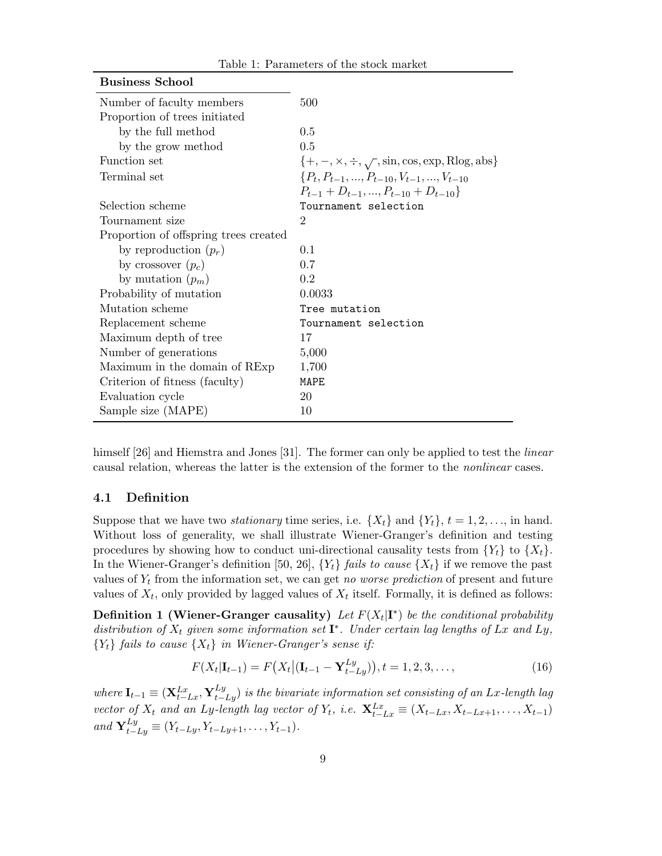| <b>Business School</b>                |                                                                |
|---------------------------------------|----------------------------------------------------------------|
| Number of faculty members             | 500                                                            |
| Proportion of trees initiated         |                                                                |
| by the full method                    | 0.5                                                            |
| by the grow method                    | 0.5                                                            |
| Function set                          | $\{+, -, \times, \div, \sqrt{\ }}$ , sin, cos, exp, Rlog, abs} |
| Terminal set                          | $\{P_t, P_{t-1}, , P_{t-10}, V_{t-1}, , V_{t-10}\}$            |
|                                       | $P_{t-1}$ + $D_{t-1}$ , , $P_{t-10}$ + $D_{t-10}$ }            |
| Selection scheme                      | Tournament selection                                           |
| Tournament size                       | $\overline{2}$                                                 |
| Proportion of offspring trees created |                                                                |
| by reproduction $(p_r)$               | 0.1                                                            |
| by crossover $(p_c)$                  | 0.7                                                            |
| by mutation $(p_m)$                   | 0.2                                                            |
| Probability of mutation               | 0.0033                                                         |
| Mutation scheme                       | Tree mutation                                                  |
| Replacement scheme                    | Tournament selection                                           |
| Maximum depth of tree                 | 17                                                             |
| Number of generations                 | 5,000                                                          |
| Maximum in the domain of RExp         | 1,700                                                          |
| Criterion of fitness (faculty)        | MAPE                                                           |
| Evaluation cycle                      | 20                                                             |
| Sample size (MAPE)                    | 10                                                             |

himself [26] and Hiemstra and Jones [31]. The former can only be applied to test the *linear* causal relation, whereas the latter is the extension of the former to the nonlinear cases.

## 4.1 Definition

Suppose that we have two *stationary* time series, i.e.  $\{X_t\}$  and  $\{Y_t\}$ ,  $t = 1, 2, \ldots$ , in hand. Without loss of generality, we shall illustrate Wiener-Granger's definition and testing procedures by showing how to conduct uni-directional causality tests from  ${Y_t}$  to  ${X_t}$ . In the Wiener-Granger's definition [50, 26],  $\{Y_t\}$  fails to cause  $\{X_t\}$  if we remove the past values of  $Y_t$  from the information set, we can get no worse prediction of present and future values of  $X_t$ , only provided by lagged values of  $X_t$  itself. Formally, it is defined as follows:

**Definition 1 (Wiener-Granger causality)** Let  $F(X_t|\mathbf{I}^*)$  be the conditional probability distribution of  $X_t$  given some information set  $\mathbf{I}^*$ . Under certain lag lengths of Lx and Ly,  ${Y_t}$  fails to cause  ${X_t}$  in Wiener-Granger's sense if:

$$
F(X_t|\mathbf{I}_{t-1}) = F(X_t|(\mathbf{I}_{t-1} - \mathbf{Y}_{t-Ly}^{Ly})), t = 1, 2, 3, ..., \qquad (16)
$$

where  $I_{t-1} \equiv (\mathbf{X}_{t-Lx}^{Lx}, \mathbf{Y}_{t-Ly}^{Ly})$  is the bivariate information set consisting of an Lx-length lag vector of  $X_t$  and an Ly-length lag vector of  $Y_t$ , i.e.  $\mathbf{X}_{t-Lx}^{Lx} \equiv (X_{t-Lx}, X_{t-Lx+1}, \ldots, X_{t-1})$ and  $\mathbf{Y}_{t-Ly}^{Ly} \equiv (Y_{t-Ly}, Y_{t-Ly+1}, \ldots, Y_{t-1}).$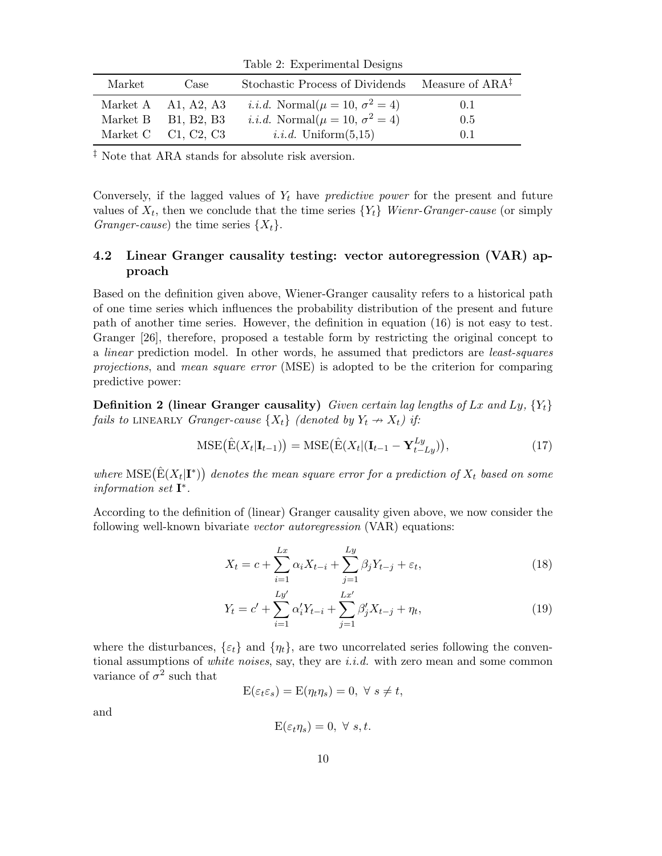Table 2: Experimental Designs

| Market | Case                  | Stochastic Process of Dividends                 | Measure of ARA <sup>‡</sup> |
|--------|-----------------------|-------------------------------------------------|-----------------------------|
|        | Market A $A1, A2, A3$ | <i>i.i.d.</i> Normal $(\mu = 10, \sigma^2 = 4)$ | 0.1                         |
|        | Market B $B1, B2, B3$ | <i>i.i.d.</i> Normal $(\mu = 10, \sigma^2 = 4)$ | 0.5                         |
|        | Market C $Cl, C2, C3$ | <i>i.i.d.</i> Uniform $(5,15)$                  | 0.1                         |

 $^\ddag$  Note that ARA stands for absolute risk aversion.

Conversely, if the lagged values of  $Y_t$  have *predictive power* for the present and future values of  $X_t$ , then we conclude that the time series  $\{Y_t\}$  Wienr-Granger-cause (or simply *Granger-cause*) the time series  $\{X_t\}$ .

# 4.2 Linear Granger causality testing: vector autoregression (VAR) approach

Based on the definition given above, Wiener-Granger causality refers to a historical path of one time series which influences the probability distribution of the present and future path of another time series. However, the definition in equation (16) is not easy to test. Granger [26], therefore, proposed a testable form by restricting the original concept to a linear prediction model. In other words, he assumed that predictors are least-squares projections, and mean square error (MSE) is adopted to be the criterion for comparing predictive power:

**Definition 2 (linear Granger causality)** Given certain lag lengths of Lx and Ly,  $\{Y_t\}$ fails to LINEARLY Granger-cause  $\{X_t\}$  (denoted by  $Y_t \nrightarrow X_t$ ) if:

$$
\text{MSE}(\hat{\mathbf{E}}(X_t|\mathbf{I}_{t-1})) = \text{MSE}(\hat{\mathbf{E}}(X_t|(\mathbf{I}_{t-1} - \mathbf{Y}_{t-Ly}^{Ly})),\tag{17}
$$

where  $\mathrm{MSE}(\hat{\mathrm{E}}(X_t|\mathbf{I}^*))$  denotes the mean square error for a prediction of  $X_t$  based on some information set  $\mathbf{I}^*$ .

According to the definition of (linear) Granger causality given above, we now consider the following well-known bivariate vector autoregression (VAR) equations:

$$
X_t = c + \sum_{i=1}^{Lx} \alpha_i X_{t-i} + \sum_{j=1}^{Ly} \beta_j Y_{t-j} + \varepsilon_t,
$$
\n(18)

$$
Y_t = c' + \sum_{i=1}^{Ly'} \alpha'_i Y_{t-i} + \sum_{j=1}^{Lx'} \beta'_j X_{t-j} + \eta_t,
$$
\n(19)

where the disturbances,  $\{\varepsilon_t\}$  and  $\{\eta_t\}$ , are two uncorrelated series following the conventional assumptions of *white noises*, say, they are  $i.i.d.$  with zero mean and some common variance of  $\sigma^2$  such that

$$
E(\varepsilon_t \varepsilon_s) = E(\eta_t \eta_s) = 0, \ \forall \ s \neq t,
$$

and

$$
E(\varepsilon_t \eta_s) = 0, \ \forall \ s, t.
$$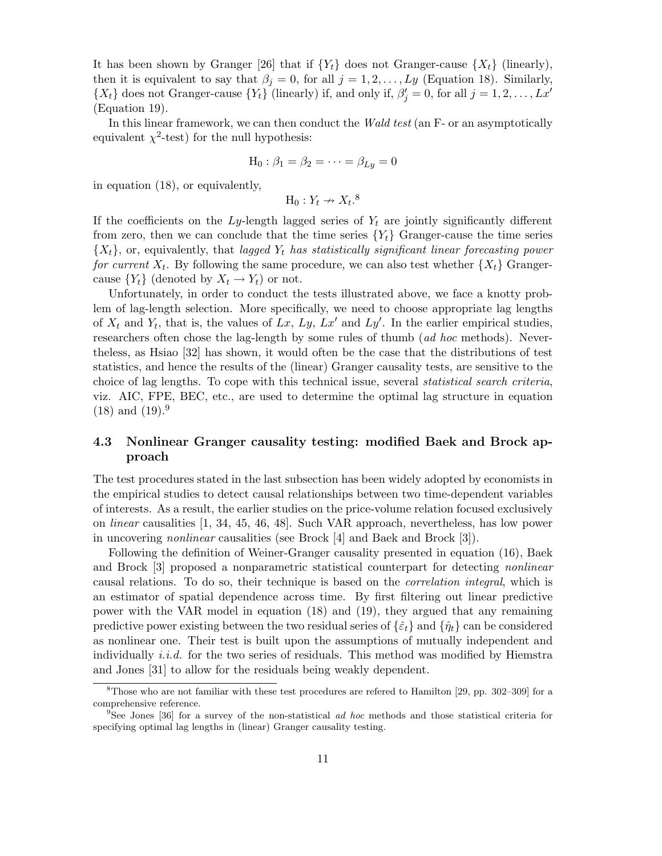It has been shown by Granger [26] that if  ${Y_t}$  does not Granger-cause  ${X_t}$  (linearly), then it is equivalent to say that  $\beta_j = 0$ , for all  $j = 1, 2, ..., Ly$  (Equation 18). Similarly,  $\{X_t\}$  does not Granger-cause  $\{Y_t\}$  (linearly) if, and only if,  $\beta'_j = 0$ , for all  $j = 1, 2, ..., Lx'$ (Equation 19).

In this linear framework, we can then conduct the Wald test (an F- or an asymptotically equivalent  $\chi^2$ -test) for the null hypothesis:

$$
H_0: \beta_1 = \beta_2 = \cdots = \beta_{Ly} = 0
$$

in equation (18), or equivalently,

$$
\mathrm{H}_0:Y_t\nrightarrow X_t.{}^8
$$

If the coefficients on the Ly-length lagged series of  $Y_t$  are jointly significantly different from zero, then we can conclude that the time series  ${Y<sub>t</sub>}$  Granger-cause the time series  ${X<sub>t</sub>}$ , or, equivalently, that lagged  $Y<sub>t</sub>$  has statistically significant linear forecasting power for current  $X_t$ . By following the same procedure, we can also test whether  $\{X_t\}$  Grangercause  ${Y_t}$  (denoted by  $X_t \to Y_t$ ) or not.

Unfortunately, in order to conduct the tests illustrated above, we face a knotty problem of lag-length selection. More specifically, we need to choose appropriate lag lengths of  $X_t$  and  $Y_t$ , that is, the values of Lx, Ly, Lx' and Ly'. In the earlier empirical studies, researchers often chose the lag-length by some rules of thumb (ad hoc methods). Nevertheless, as Hsiao [32] has shown, it would often be the case that the distributions of test statistics, and hence the results of the (linear) Granger causality tests, are sensitive to the choice of lag lengths. To cope with this technical issue, several statistical search criteria, viz. AIC, FPE, BEC, etc., are used to determine the optimal lag structure in equation  $(18)$  and  $(19).9$ 

# 4.3 Nonlinear Granger causality testing: modified Baek and Brock approach

The test procedures stated in the last subsection has been widely adopted by economists in the empirical studies to detect causal relationships between two time-dependent variables of interests. As a result, the earlier studies on the price-volume relation focused exclusively on linear causalities [1, 34, 45, 46, 48]. Such VAR approach, nevertheless, has low power in uncovering nonlinear causalities (see Brock [4] and Baek and Brock [3]).

Following the definition of Weiner-Granger causality presented in equation (16), Baek and Brock [3] proposed a nonparametric statistical counterpart for detecting nonlinear causal relations. To do so, their technique is based on the correlation integral, which is an estimator of spatial dependence across time. By first filtering out linear predictive power with the VAR model in equation (18) and (19), they argued that any remaining predictive power existing between the two residual series of  $\{\hat{\varepsilon}_t\}$  and  $\{\hat{\eta}_t\}$  can be considered as nonlinear one. Their test is built upon the assumptions of mutually independent and individually *i.i.d.* for the two series of residuals. This method was modified by Hiemstra and Jones [31] to allow for the residuals being weakly dependent.

 $8$ Those who are not familiar with these test procedures are refered to Hamilton [29, pp. 302–309] for a comprehensive reference.

<sup>&</sup>lt;sup>9</sup>See Jones [36] for a survey of the non-statistical ad hoc methods and those statistical criteria for specifying optimal lag lengths in (linear) Granger causality testing.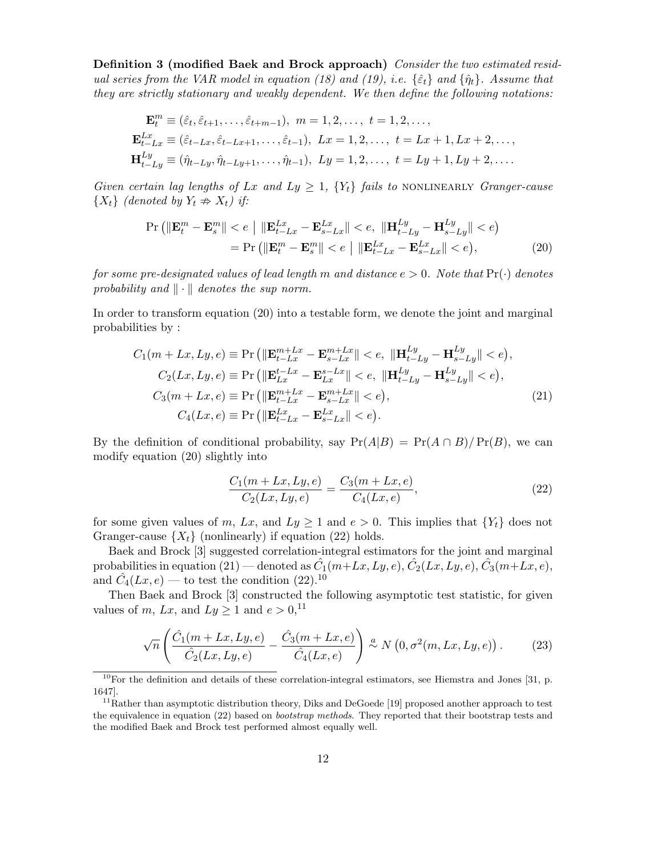Definition 3 (modified Baek and Brock approach) Consider the two estimated residual series from the VAR model in equation (18) and (19), i.e.  $\{\hat{\epsilon}_t\}$  and  $\{\hat{\eta}_t\}$ . Assume that they are strictly stationary and weakly dependent. We then define the following notations:

$$
\mathbf{E}_{t}^{m} \equiv (\hat{\varepsilon}_{t}, \hat{\varepsilon}_{t+1}, \dots, \hat{\varepsilon}_{t+m-1}), \ m = 1, 2, \dots, \ t = 1, 2, \dots,
$$
  
\n
$$
\mathbf{E}_{t-Lx}^{Lx} \equiv (\hat{\varepsilon}_{t-Lx}, \hat{\varepsilon}_{t-Lx+1}, \dots, \hat{\varepsilon}_{t-1}), \ Lx = 1, 2, \dots, \ t = Lx + 1, Lx + 2, \dots,
$$
  
\n
$$
\mathbf{H}_{t-Ly}^{Ly} \equiv (\hat{\eta}_{t-Ly}, \hat{\eta}_{t-Ly+1}, \dots, \hat{\eta}_{t-1}), \ Ly = 1, 2, \dots, \ t = Ly + 1, Ly + 2, \dots.
$$

Given certain lag lengths of Lx and Ly  $\geq$  1,  $\{Y_t\}$  fails to NONLINEARLY Granger-cause  ${X_t}$  (denoted by  $Y_t \nRightarrow X_t$ ) if:

$$
\Pr\left(\|\mathbf{E}_{t}^{m} - \mathbf{E}_{s}^{m}\| < e \mid \|\mathbf{E}_{t-Lx}^{Lx} - \mathbf{E}_{s-Lx}^{Lx}\| < e, \|\mathbf{H}_{t-Ly}^{Ly} - \mathbf{H}_{s-Ly}^{Ly}\| < e\right)
$$
  
= 
$$
\Pr\left(\|\mathbf{E}_{t}^{m} - \mathbf{E}_{s}^{m}\| < e \mid \|\mathbf{E}_{t-Lx}^{Lx} - \mathbf{E}_{s-Lx}^{Lx}\| < e\right),
$$
 (20)

for some pre-designated values of lead length m and distance  $e > 0$ . Note that  $Pr(\cdot)$  denotes probability and  $\|\cdot\|$  denotes the sup norm.

In order to transform equation (20) into a testable form, we denote the joint and marginal probabilities by :

$$
C_{1}(m+Lx, Ly, e) \equiv \Pr\left(\|\mathbf{E}_{t-Lx}^{m+Lx} - \mathbf{E}_{s-Lx}^{m+Lx}\| < e, \|\mathbf{H}_{t-Ly}^{Ly} - \mathbf{H}_{s-Ly}^{Ly}\| < e\right),
$$
\n
$$
C_{2}(Lx, Ly, e) \equiv \Pr\left(\|\mathbf{E}_{Lx}^{t-Lx} - \mathbf{E}_{Lx}^{s-Lx}\| < e, \|\mathbf{H}_{t-Ly}^{Ly} - \mathbf{H}_{s-Ly}^{Ly}\| < e\right),
$$
\n
$$
C_{3}(m+Lx, e) \equiv \Pr\left(\|\mathbf{E}_{t-Lx}^{m+Lx} - \mathbf{E}_{s-Lx}^{m+Lx}\| < e\right),
$$
\n
$$
C_{4}(Lx, e) \equiv \Pr\left(\|\mathbf{E}_{t-Lx}^{Lx} - \mathbf{E}_{s-Lx}^{Lx}\| < e\right).
$$
\n(21)

By the definition of conditional probability, say  $Pr(A|B) = Pr(A \cap B)/Pr(B)$ , we can modify equation (20) slightly into

$$
\frac{C_1(m+Lx, Ly,e)}{C_2(Lx, Ly,e)} = \frac{C_3(m+Lx,e)}{C_4(Lx,e)},
$$
\n(22)

for some given values of m, Lx, and  $Ly \ge 1$  and  $e > 0$ . This implies that  $\{Y_t\}$  does not Granger-cause  $\{X_t\}$  (nonlinearly) if equation (22) holds.

Baek and Brock [3] suggested correlation-integral estimators for the joint and marginal probabilities in equation (21) — denoted as  $\hat{C}_1(m+Lx,Ly,e)$ ,  $\hat{C}_2(Lx,Ly,e)$ ,  $\hat{C}_3(m+Lx,e)$ , and  $\hat{C}_4(Lx,e)$  — to test the condition (22).<sup>10</sup>

Then Baek and Brock [3] constructed the following asymptotic test statistic, for given values of m, Lx, and  $Ly \ge 1$  and  $e > 0$ ,<sup>11</sup>

$$
\sqrt{n}\left(\frac{\hat{C}_1(m+Lx,Ly,e)}{\hat{C}_2(Lx,Ly,e)} - \frac{\hat{C}_3(m+Lx,e)}{\hat{C}_4(Lx,e)}\right) \stackrel{a}{\sim} N\left(0,\sigma^2(m,Lx,Ly,e)\right). \tag{23}
$$

 $10$ For the definition and details of these correlation-integral estimators, see Hiemstra and Jones [31, p. 1647].

<sup>&</sup>lt;sup>11</sup>Rather than asymptotic distribution theory, Diks and DeGoede [19] proposed another approach to test the equivalence in equation (22) based on bootstrap methods. They reported that their bootstrap tests and the modified Baek and Brock test performed almost equally well.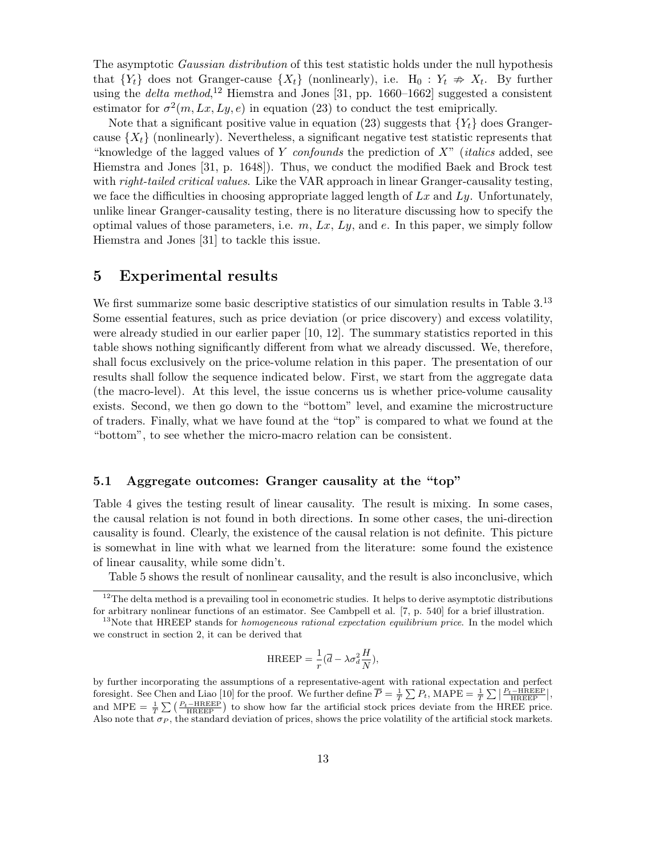The asymptotic *Gaussian distribution* of this test statistic holds under the null hypothesis that  ${Y_t}$  does not Granger-cause  ${X_t}$  (nonlinearly), i.e.  $H_0: Y_t \nArr X_t$ . By further using the *delta method*,<sup>12</sup> Hiemstra and Jones [31, pp. 1660–1662] suggested a consistent estimator for  $\sigma^2(m, Lx, Ly, e)$  in equation (23) to conduct the test emiprically.

Note that a significant positive value in equation (23) suggests that  ${Y_t}$  does Grangercause  $\{X_t\}$  (nonlinearly). Nevertheless, a significant negative test statistic represents that "knowledge of the lagged values of Y confounds the prediction of  $X$ " (*italics* added, see Hiemstra and Jones [31, p. 1648]). Thus, we conduct the modified Baek and Brock test with *right-tailed critical values*. Like the VAR approach in linear Granger-causality testing, we face the difficulties in choosing appropriate lagged length of  $Lx$  and  $Ly$ . Unfortunately, unlike linear Granger-causality testing, there is no literature discussing how to specify the optimal values of those parameters, i.e.  $m$ ,  $Lx$ ,  $Ly$ , and  $e$ . In this paper, we simply follow Hiemstra and Jones [31] to tackle this issue.

## 5 Experimental results

We first summarize some basic descriptive statistics of our simulation results in Table 3.<sup>13</sup> Some essential features, such as price deviation (or price discovery) and excess volatility, were already studied in our earlier paper [10, 12]. The summary statistics reported in this table shows nothing significantly different from what we already discussed. We, therefore, shall focus exclusively on the price-volume relation in this paper. The presentation of our results shall follow the sequence indicated below. First, we start from the aggregate data (the macro-level). At this level, the issue concerns us is whether price-volume causality exists. Second, we then go down to the "bottom" level, and examine the microstructure of traders. Finally, what we have found at the "top" is compared to what we found at the "bottom", to see whether the micro-macro relation can be consistent.

## 5.1 Aggregate outcomes: Granger causality at the "top"

Table 4 gives the testing result of linear causality. The result is mixing. In some cases, the causal relation is not found in both directions. In some other cases, the uni-direction causality is found. Clearly, the existence of the causal relation is not definite. This picture is somewhat in line with what we learned from the literature: some found the existence of linear causality, while some didn't.

Table 5 shows the result of nonlinear causality, and the result is also inconclusive, which

$$
HREEP = \frac{1}{r}(\overline{d} - \lambda \sigma_d^2 \frac{H}{N}),
$$

 $12$ The delta method is a prevailing tool in econometric studies. It helps to derive asymptotic distributions for arbitrary nonlinear functions of an estimator. See Cambpell et al. [7, p. 540] for a brief illustration.

 $13$ Note that HREEP stands for *homogeneous rational expectation equilibrium price*. In the model which we construct in section 2, it can be derived that

by further incorporating the assumptions of a representative-agent with rational expectation and perfect foresight. See Chen and Liao [10] for the proof. We further define  $\overline{P} = \frac{1}{T} \sum P_t$ ,  $\text{MAPE} = \frac{1}{T} \sum \left| \frac{P_t - \text{HREEP}}{\text{HREEP}} \right|$ , and MPE =  $\frac{1}{T} \sum \left( \frac{P_t - \text{HREEP}}{\text{HREEP}} \right)$  to show how far the artificial stock prices deviate from the HREE price. Also note that  $\sigma_P$ , the standard deviation of prices, shows the price volatility of the artificial stock markets.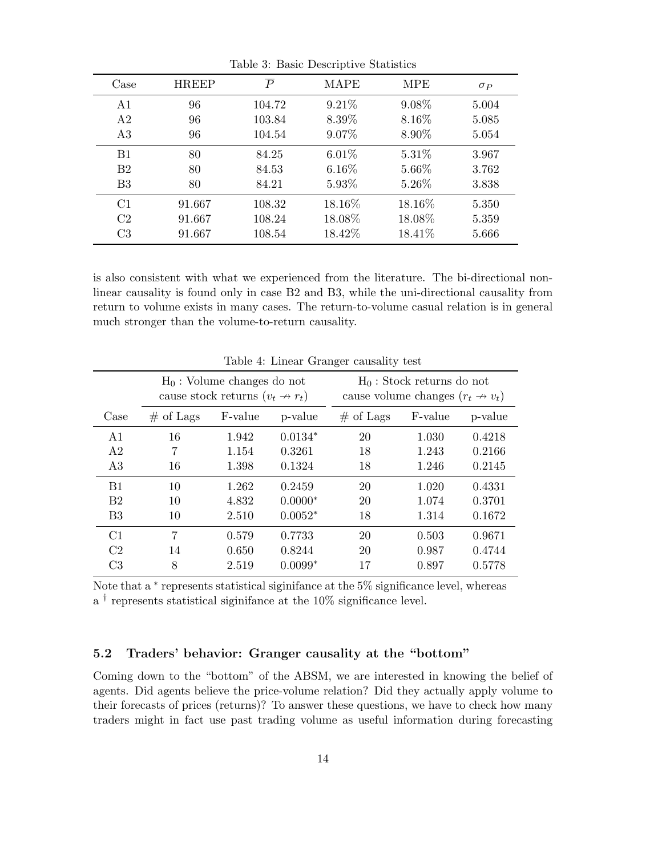| $\rm Case$     | <b>HREEP</b> | $\overline{P}$ | MAPE     | <b>MPE</b> | $\sigma_P$ |
|----------------|--------------|----------------|----------|------------|------------|
| A <sub>1</sub> | 96           | 104.72         | 9.21%    | 9.08%      | 5.004      |
| A2             | 96           | 103.84         | 8.39%    | 8.16\%     | 5.085      |
| A3             | 96           | 104.54         | 9.07%    | 8.90\%     | 5.054      |
| B1             | 80           | 84.25          | $6.01\%$ | 5.31\%     | 3.967      |
| B <sub>2</sub> | 80           | 84.53          | $6.16\%$ | 5.66%      | 3.762      |
| B <sub>3</sub> | 80           | 84.21          | 5.93%    | 5.26\%     | 3.838      |
| C1             | 91.667       | 108.32         | 18.16%   | 18.16%     | 5.350      |
| C <sub>2</sub> | 91.667       | 108.24         | 18.08%   | 18.08%     | 5.359      |
| C <sub>3</sub> | 91.667       | 108.54         | 18.42\%  | 18.41\%    | 5.666      |

Table 3: Basic Descriptive Statistics

is also consistent with what we experienced from the literature. The bi-directional nonlinear causality is found only in case B2 and B3, while the uni-directional causality from return to volume exists in many cases. The return-to-volume casual relation is in general much stronger than the volume-to-return causality.

|                | $H_0$ : Volume changes do not<br>cause stock returns $(v_t \nightharpoonup r_t)$ |         |           |             | $H_0$ : Stock returns do not<br>cause volume changes $(r_t \nightharpoonup v_t)$ |         |
|----------------|----------------------------------------------------------------------------------|---------|-----------|-------------|----------------------------------------------------------------------------------|---------|
| Case           | $\#$ of Lags                                                                     | F-value | p-value   | $#$ of Lags | F-value                                                                          | p-value |
| A1             | 16                                                                               | 1.942   | $0.0134*$ | 20          | 1.030                                                                            | 0.4218  |
| A2             | $\overline{7}$                                                                   | 1.154   | 0.3261    | 18          | 1.243                                                                            | 0.2166  |
| A3             | 16                                                                               | 1.398   | 0.1324    | 18          | 1.246                                                                            | 0.2145  |
| B1             | 10                                                                               | 1.262   | 0.2459    | 20          | 1.020                                                                            | 0.4331  |
| B <sub>2</sub> | 10                                                                               | 4.832   | $0.0000*$ | 20          | 1.074                                                                            | 0.3701  |
| B <sub>3</sub> | 10                                                                               | 2.510   | $0.0052*$ | 18          | 1.314                                                                            | 0.1672  |
| C1             | 7                                                                                | 0.579   | 0.7733    | 20          | 0.503                                                                            | 0.9671  |
| C <sub>2</sub> | 14                                                                               | 0.650   | 0.8244    | 20          | 0.987                                                                            | 0.4744  |
| C <sub>3</sub> | 8                                                                                | 2.519   | $0.0099*$ | 17          | 0.897                                                                            | 0.5778  |

Table 4: Linear Granger causality test

Note that a <sup>\*</sup> represents statistical siginifance at the 5<sup>%</sup> significance level, whereas a † represents statistical siginifance at the 10% significance level.

# 5.2 Traders' behavior: Granger causality at the "bottom"

Coming down to the "bottom" of the ABSM, we are interested in knowing the belief of agents. Did agents believe the price-volume relation? Did they actually apply volume to their forecasts of prices (returns)? To answer these questions, we have to check how many traders might in fact use past trading volume as useful information during forecasting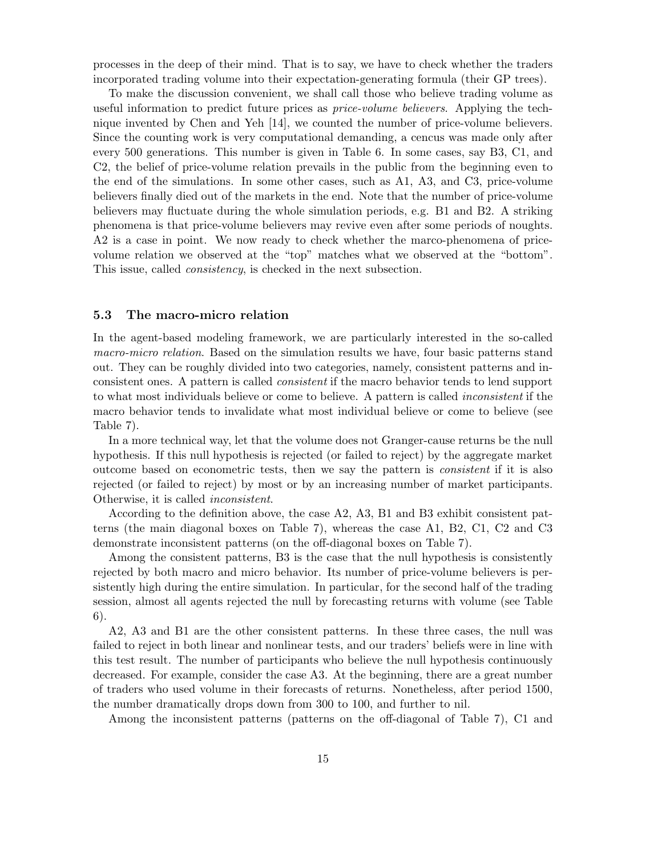processes in the deep of their mind. That is to say, we have to check whether the traders incorporated trading volume into their expectation-generating formula (their GP trees).

To make the discussion convenient, we shall call those who believe trading volume as useful information to predict future prices as *price-volume believers*. Applying the technique invented by Chen and Yeh [14], we counted the number of price-volume believers. Since the counting work is very computational demanding, a cencus was made only after every 500 generations. This number is given in Table 6. In some cases, say B3, C1, and C2, the belief of price-volume relation prevails in the public from the beginning even to the end of the simulations. In some other cases, such as A1, A3, and C3, price-volume believers finally died out of the markets in the end. Note that the number of price-volume believers may fluctuate during the whole simulation periods, e.g. B1 and B2. A striking phenomena is that price-volume believers may revive even after some periods of noughts. A2 is a case in point. We now ready to check whether the marco-phenomena of pricevolume relation we observed at the "top" matches what we observed at the "bottom". This issue, called consistency, is checked in the next subsection.

## 5.3 The macro-micro relation

In the agent-based modeling framework, we are particularly interested in the so-called macro-micro relation. Based on the simulation results we have, four basic patterns stand out. They can be roughly divided into two categories, namely, consistent patterns and inconsistent ones. A pattern is called consistent if the macro behavior tends to lend support to what most individuals believe or come to believe. A pattern is called inconsistent if the macro behavior tends to invalidate what most individual believe or come to believe (see Table 7).

In a more technical way, let that the volume does not Granger-cause returns be the null hypothesis. If this null hypothesis is rejected (or failed to reject) by the aggregate market outcome based on econometric tests, then we say the pattern is consistent if it is also rejected (or failed to reject) by most or by an increasing number of market participants. Otherwise, it is called inconsistent.

According to the definition above, the case A2, A3, B1 and B3 exhibit consistent patterns (the main diagonal boxes on Table 7), whereas the case A1, B2, C1, C2 and C3 demonstrate inconsistent patterns (on the off-diagonal boxes on Table 7).

Among the consistent patterns, B3 is the case that the null hypothesis is consistently rejected by both macro and micro behavior. Its number of price-volume believers is persistently high during the entire simulation. In particular, for the second half of the trading session, almost all agents rejected the null by forecasting returns with volume (see Table 6).

A2, A3 and B1 are the other consistent patterns. In these three cases, the null was failed to reject in both linear and nonlinear tests, and our traders' beliefs were in line with this test result. The number of participants who believe the null hypothesis continuously decreased. For example, consider the case A3. At the beginning, there are a great number of traders who used volume in their forecasts of returns. Nonetheless, after period 1500, the number dramatically drops down from 300 to 100, and further to nil.

Among the inconsistent patterns (patterns on the off-diagonal of Table 7), C1 and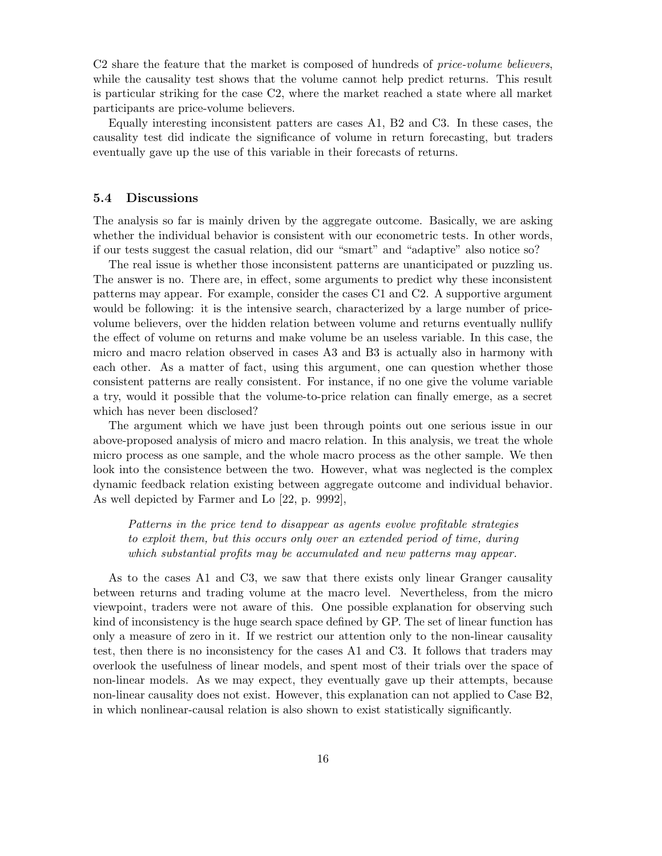C2 share the feature that the market is composed of hundreds of *price-volume believers*, while the causality test shows that the volume cannot help predict returns. This result is particular striking for the case C2, where the market reached a state where all market participants are price-volume believers.

Equally interesting inconsistent patters are cases A1, B2 and C3. In these cases, the causality test did indicate the significance of volume in return forecasting, but traders eventually gave up the use of this variable in their forecasts of returns.

## 5.4 Discussions

The analysis so far is mainly driven by the aggregate outcome. Basically, we are asking whether the individual behavior is consistent with our econometric tests. In other words, if our tests suggest the casual relation, did our "smart" and "adaptive" also notice so?

The real issue is whether those inconsistent patterns are unanticipated or puzzling us. The answer is no. There are, in effect, some arguments to predict why these inconsistent patterns may appear. For example, consider the cases C1 and C2. A supportive argument would be following: it is the intensive search, characterized by a large number of pricevolume believers, over the hidden relation between volume and returns eventually nullify the effect of volume on returns and make volume be an useless variable. In this case, the micro and macro relation observed in cases A3 and B3 is actually also in harmony with each other. As a matter of fact, using this argument, one can question whether those consistent patterns are really consistent. For instance, if no one give the volume variable a try, would it possible that the volume-to-price relation can finally emerge, as a secret which has never been disclosed?

The argument which we have just been through points out one serious issue in our above-proposed analysis of micro and macro relation. In this analysis, we treat the whole micro process as one sample, and the whole macro process as the other sample. We then look into the consistence between the two. However, what was neglected is the complex dynamic feedback relation existing between aggregate outcome and individual behavior. As well depicted by Farmer and Lo [22, p. 9992],

Patterns in the price tend to disappear as agents evolve profitable strategies to exploit them, but this occurs only over an extended period of time, during which substantial profits may be accumulated and new patterns may appear.

As to the cases A1 and C3, we saw that there exists only linear Granger causality between returns and trading volume at the macro level. Nevertheless, from the micro viewpoint, traders were not aware of this. One possible explanation for observing such kind of inconsistency is the huge search space defined by GP. The set of linear function has only a measure of zero in it. If we restrict our attention only to the non-linear causality test, then there is no inconsistency for the cases A1 and C3. It follows that traders may overlook the usefulness of linear models, and spent most of their trials over the space of non-linear models. As we may expect, they eventually gave up their attempts, because non-linear causality does not exist. However, this explanation can not applied to Case B2, in which nonlinear-causal relation is also shown to exist statistically significantly.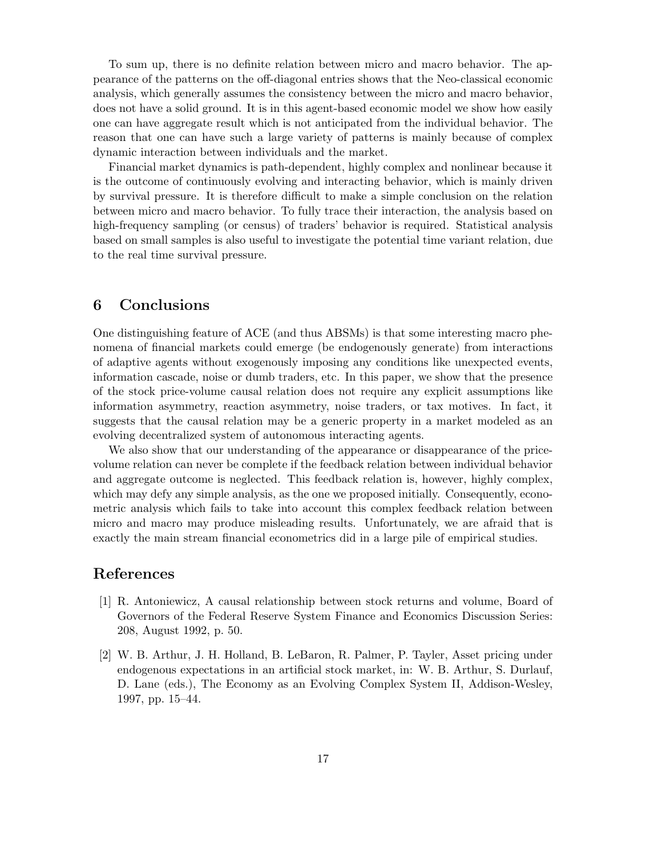To sum up, there is no definite relation between micro and macro behavior. The appearance of the patterns on the off-diagonal entries shows that the Neo-classical economic analysis, which generally assumes the consistency between the micro and macro behavior, does not have a solid ground. It is in this agent-based economic model we show how easily one can have aggregate result which is not anticipated from the individual behavior. The reason that one can have such a large variety of patterns is mainly because of complex dynamic interaction between individuals and the market.

Financial market dynamics is path-dependent, highly complex and nonlinear because it is the outcome of continuously evolving and interacting behavior, which is mainly driven by survival pressure. It is therefore difficult to make a simple conclusion on the relation between micro and macro behavior. To fully trace their interaction, the analysis based on high-frequency sampling (or census) of traders' behavior is required. Statistical analysis based on small samples is also useful to investigate the potential time variant relation, due to the real time survival pressure.

# 6 Conclusions

One distinguishing feature of ACE (and thus ABSMs) is that some interesting macro phenomena of financial markets could emerge (be endogenously generate) from interactions of adaptive agents without exogenously imposing any conditions like unexpected events, information cascade, noise or dumb traders, etc. In this paper, we show that the presence of the stock price-volume causal relation does not require any explicit assumptions like information asymmetry, reaction asymmetry, noise traders, or tax motives. In fact, it suggests that the causal relation may be a generic property in a market modeled as an evolving decentralized system of autonomous interacting agents.

We also show that our understanding of the appearance or disappearance of the pricevolume relation can never be complete if the feedback relation between individual behavior and aggregate outcome is neglected. This feedback relation is, however, highly complex, which may defy any simple analysis, as the one we proposed initially. Consequently, econometric analysis which fails to take into account this complex feedback relation between micro and macro may produce misleading results. Unfortunately, we are afraid that is exactly the main stream financial econometrics did in a large pile of empirical studies.

## References

- [1] R. Antoniewicz, A causal relationship between stock returns and volume, Board of Governors of the Federal Reserve System Finance and Economics Discussion Series: 208, August 1992, p. 50.
- [2] W. B. Arthur, J. H. Holland, B. LeBaron, R. Palmer, P. Tayler, Asset pricing under endogenous expectations in an artificial stock market, in: W. B. Arthur, S. Durlauf, D. Lane (eds.), The Economy as an Evolving Complex System II, Addison-Wesley, 1997, pp. 15–44.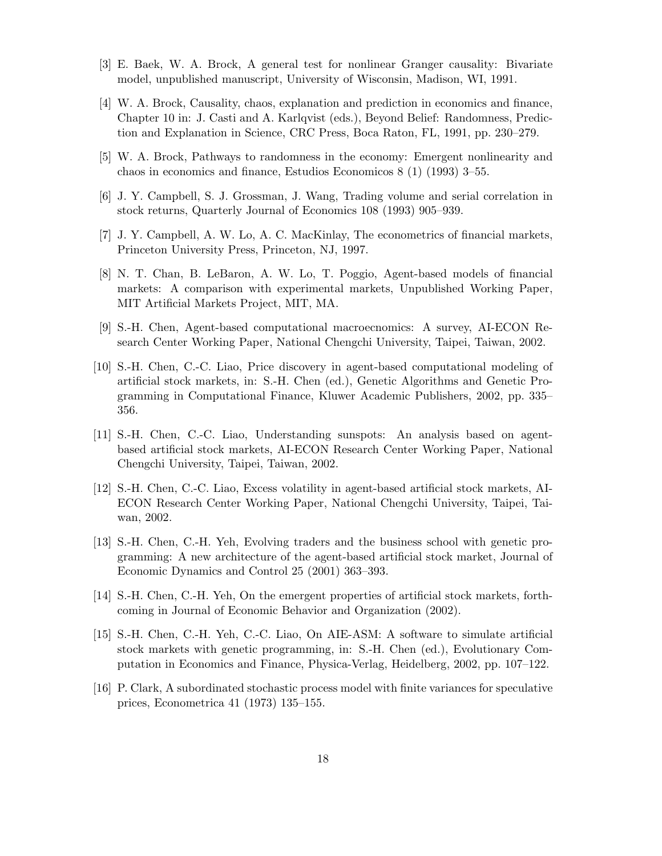- [3] E. Baek, W. A. Brock, A general test for nonlinear Granger causality: Bivariate model, unpublished manuscript, University of Wisconsin, Madison, WI, 1991.
- [4] W. A. Brock, Causality, chaos, explanation and prediction in economics and finance, Chapter 10 in: J. Casti and A. Karlqvist (eds.), Beyond Belief: Randomness, Prediction and Explanation in Science, CRC Press, Boca Raton, FL, 1991, pp. 230–279.
- [5] W. A. Brock, Pathways to randomness in the economy: Emergent nonlinearity and chaos in economics and finance, Estudios Economicos 8 (1) (1993) 3–55.
- [6] J. Y. Campbell, S. J. Grossman, J. Wang, Trading volume and serial correlation in stock returns, Quarterly Journal of Economics 108 (1993) 905–939.
- [7] J. Y. Campbell, A. W. Lo, A. C. MacKinlay, The econometrics of financial markets, Princeton University Press, Princeton, NJ, 1997.
- [8] N. T. Chan, B. LeBaron, A. W. Lo, T. Poggio, Agent-based models of financial markets: A comparison with experimental markets, Unpublished Working Paper, MIT Artificial Markets Project, MIT, MA.
- [9] S.-H. Chen, Agent-based computational macroecnomics: A survey, AI-ECON Research Center Working Paper, National Chengchi University, Taipei, Taiwan, 2002.
- [10] S.-H. Chen, C.-C. Liao, Price discovery in agent-based computational modeling of artificial stock markets, in: S.-H. Chen (ed.), Genetic Algorithms and Genetic Programming in Computational Finance, Kluwer Academic Publishers, 2002, pp. 335– 356.
- [11] S.-H. Chen, C.-C. Liao, Understanding sunspots: An analysis based on agentbased artificial stock markets, AI-ECON Research Center Working Paper, National Chengchi University, Taipei, Taiwan, 2002.
- [12] S.-H. Chen, C.-C. Liao, Excess volatility in agent-based artificial stock markets, AI-ECON Research Center Working Paper, National Chengchi University, Taipei, Taiwan, 2002.
- [13] S.-H. Chen, C.-H. Yeh, Evolving traders and the business school with genetic programming: A new architecture of the agent-based artificial stock market, Journal of Economic Dynamics and Control 25 (2001) 363–393.
- [14] S.-H. Chen, C.-H. Yeh, On the emergent properties of artificial stock markets, forthcoming in Journal of Economic Behavior and Organization (2002).
- [15] S.-H. Chen, C.-H. Yeh, C.-C. Liao, On AIE-ASM: A software to simulate artificial stock markets with genetic programming, in: S.-H. Chen (ed.), Evolutionary Computation in Economics and Finance, Physica-Verlag, Heidelberg, 2002, pp. 107–122.
- [16] P. Clark, A subordinated stochastic process model with finite variances for speculative prices, Econometrica 41 (1973) 135–155.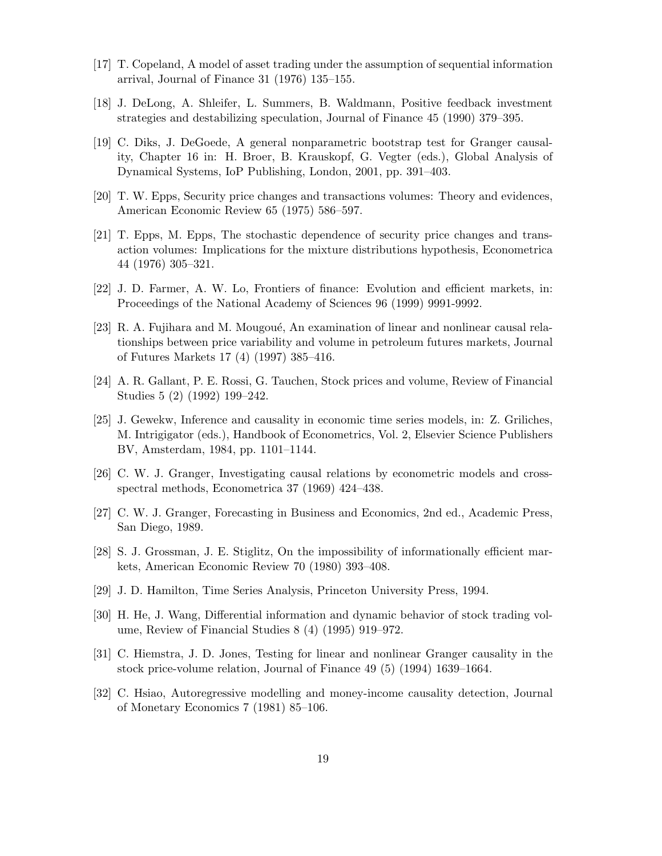- [17] T. Copeland, A model of asset trading under the assumption of sequential information arrival, Journal of Finance 31 (1976) 135–155.
- [18] J. DeLong, A. Shleifer, L. Summers, B. Waldmann, Positive feedback investment strategies and destabilizing speculation, Journal of Finance 45 (1990) 379–395.
- [19] C. Diks, J. DeGoede, A general nonparametric bootstrap test for Granger causality, Chapter 16 in: H. Broer, B. Krauskopf, G. Vegter (eds.), Global Analysis of Dynamical Systems, IoP Publishing, London, 2001, pp. 391–403.
- [20] T. W. Epps, Security price changes and transactions volumes: Theory and evidences, American Economic Review 65 (1975) 586–597.
- [21] T. Epps, M. Epps, The stochastic dependence of security price changes and transaction volumes: Implications for the mixture distributions hypothesis, Econometrica 44 (1976) 305–321.
- [22] J. D. Farmer, A. W. Lo, Frontiers of finance: Evolution and efficient markets, in: Proceedings of the National Academy of Sciences 96 (1999) 9991-9992.
- [23] R. A. Fujihara and M. Mougoué, An examination of linear and nonlinear causal relationships between price variability and volume in petroleum futures markets, Journal of Futures Markets 17 (4) (1997) 385–416.
- [24] A. R. Gallant, P. E. Rossi, G. Tauchen, Stock prices and volume, Review of Financial Studies 5 (2) (1992) 199–242.
- [25] J. Gewekw, Inference and causality in economic time series models, in: Z. Griliches, M. Intrigigator (eds.), Handbook of Econometrics, Vol. 2, Elsevier Science Publishers BV, Amsterdam, 1984, pp. 1101–1144.
- [26] C. W. J. Granger, Investigating causal relations by econometric models and crossspectral methods, Econometrica 37 (1969) 424–438.
- [27] C. W. J. Granger, Forecasting in Business and Economics, 2nd ed., Academic Press, San Diego, 1989.
- [28] S. J. Grossman, J. E. Stiglitz, On the impossibility of informationally efficient markets, American Economic Review 70 (1980) 393–408.
- [29] J. D. Hamilton, Time Series Analysis, Princeton University Press, 1994.
- [30] H. He, J. Wang, Differential information and dynamic behavior of stock trading volume, Review of Financial Studies 8 (4) (1995) 919–972.
- [31] C. Hiemstra, J. D. Jones, Testing for linear and nonlinear Granger causality in the stock price-volume relation, Journal of Finance 49 (5) (1994) 1639–1664.
- [32] C. Hsiao, Autoregressive modelling and money-income causality detection, Journal of Monetary Economics 7 (1981) 85–106.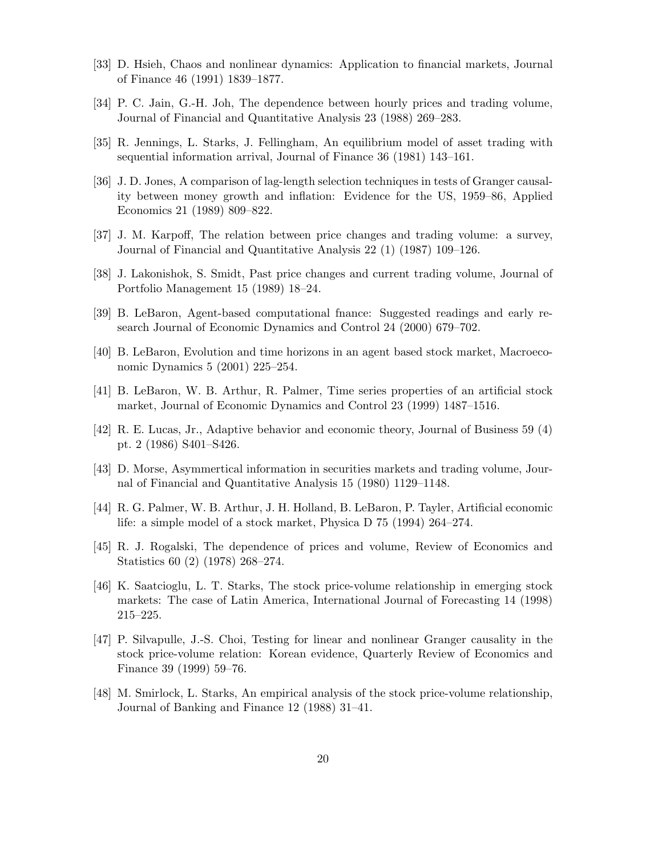- [33] D. Hsieh, Chaos and nonlinear dynamics: Application to financial markets, Journal of Finance 46 (1991) 1839–1877.
- [34] P. C. Jain, G.-H. Joh, The dependence between hourly prices and trading volume, Journal of Financial and Quantitative Analysis 23 (1988) 269–283.
- [35] R. Jennings, L. Starks, J. Fellingham, An equilibrium model of asset trading with sequential information arrival, Journal of Finance 36 (1981) 143–161.
- [36] J. D. Jones, A comparison of lag-length selection techniques in tests of Granger causality between money growth and inflation: Evidence for the US, 1959–86, Applied Economics 21 (1989) 809–822.
- [37] J. M. Karpoff, The relation between price changes and trading volume: a survey, Journal of Financial and Quantitative Analysis 22 (1) (1987) 109–126.
- [38] J. Lakonishok, S. Smidt, Past price changes and current trading volume, Journal of Portfolio Management 15 (1989) 18–24.
- [39] B. LeBaron, Agent-based computational fnance: Suggested readings and early research Journal of Economic Dynamics and Control 24 (2000) 679–702.
- [40] B. LeBaron, Evolution and time horizons in an agent based stock market, Macroeconomic Dynamics 5 (2001) 225–254.
- [41] B. LeBaron, W. B. Arthur, R. Palmer, Time series properties of an artificial stock market, Journal of Economic Dynamics and Control 23 (1999) 1487–1516.
- [42] R. E. Lucas, Jr., Adaptive behavior and economic theory, Journal of Business 59 (4) pt. 2 (1986) S401–S426.
- [43] D. Morse, Asymmertical information in securities markets and trading volume, Journal of Financial and Quantitative Analysis 15 (1980) 1129–1148.
- [44] R. G. Palmer, W. B. Arthur, J. H. Holland, B. LeBaron, P. Tayler, Artificial economic life: a simple model of a stock market, Physica D 75 (1994) 264–274.
- [45] R. J. Rogalski, The dependence of prices and volume, Review of Economics and Statistics 60 (2) (1978) 268–274.
- [46] K. Saatcioglu, L. T. Starks, The stock price-volume relationship in emerging stock markets: The case of Latin America, International Journal of Forecasting 14 (1998) 215–225.
- [47] P. Silvapulle, J.-S. Choi, Testing for linear and nonlinear Granger causality in the stock price-volume relation: Korean evidence, Quarterly Review of Economics and Finance 39 (1999) 59–76.
- [48] M. Smirlock, L. Starks, An empirical analysis of the stock price-volume relationship, Journal of Banking and Finance 12 (1988) 31–41.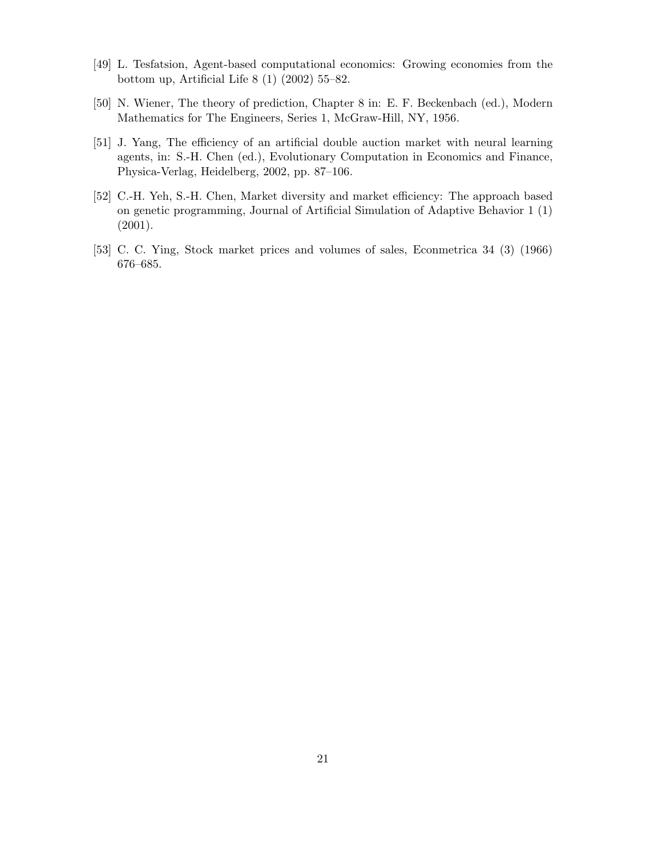- [49] L. Tesfatsion, Agent-based computational economics: Growing economies from the bottom up, Artificial Life 8 (1) (2002) 55–82.
- [50] N. Wiener, The theory of prediction, Chapter 8 in: E. F. Beckenbach (ed.), Modern Mathematics for The Engineers, Series 1, McGraw-Hill, NY, 1956.
- [51] J. Yang, The efficiency of an artificial double auction market with neural learning agents, in: S.-H. Chen (ed.), Evolutionary Computation in Economics and Finance, Physica-Verlag, Heidelberg, 2002, pp. 87–106.
- [52] C.-H. Yeh, S.-H. Chen, Market diversity and market efficiency: The approach based on genetic programming, Journal of Artificial Simulation of Adaptive Behavior 1 (1) (2001).
- [53] C. C. Ying, Stock market prices and volumes of sales, Econmetrica 34 (3) (1966) 676–685.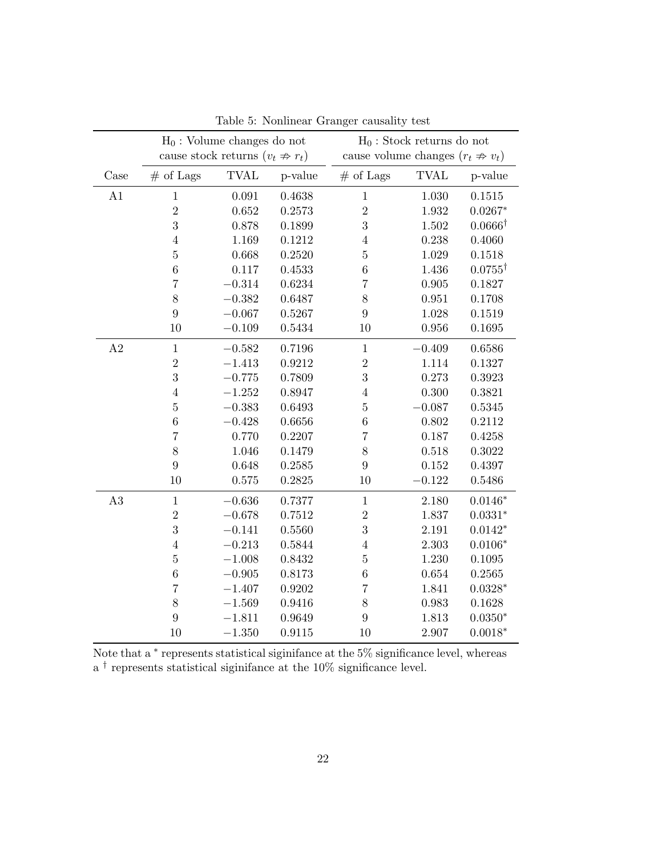|          |                | $H_0$ : Volume changes do not                |            |                                        | $H_0$ : Stock returns do not |                    |
|----------|----------------|----------------------------------------------|------------|----------------------------------------|------------------------------|--------------------|
|          |                | cause stock returns $(v_t \nRightarrow r_t)$ |            | cause volume changes $(r_t \nArr v_t)$ |                              |                    |
| Case     | $#$ of Lags    | <b>TVAL</b>                                  | p-value    | $#$ of Lags                            | <b>TVAL</b>                  | p-value            |
| A1       | $1\,$          | 0.091                                        | 0.4638     | $\,1$                                  | 1.030                        | 0.1515             |
|          | $\overline{2}$ | 0.652                                        | 0.2573     | $\overline{2}$                         | 1.932                        | $0.0267*$          |
|          | 3              | 0.878                                        | 0.1899     | 3                                      | 1.502                        | $0.0666^{\dagger}$ |
|          | $\sqrt{4}$     | 1.169                                        | 0.1212     | $\overline{4}$                         | 0.238                        | 0.4060             |
|          | $\bf 5$        | 0.668                                        | 0.2520     | $\overline{5}$                         | 1.029                        | 0.1518             |
|          | $\overline{6}$ | $0.117\,$                                    | 0.4533     | $\overline{6}$                         | 1.436                        | $0.0755^{\dagger}$ |
|          | $\overline{7}$ | $-0.314$                                     | 0.6234     | $\overline{7}$                         | $\,0.905\,$                  | 0.1827             |
|          | 8              | $-0.382$                                     | 0.6487     | 8                                      | 0.951                        | 0.1708             |
|          | 9              | $-0.067$                                     | 0.5267     | 9                                      | 1.028                        | 0.1519             |
|          | 10             | $-0.109$                                     | 0.5434     | 10                                     | 0.956                        | 0.1695             |
| A2       | $\mathbf{1}$   | $-0.582$                                     | $0.7196\,$ | $1\,$                                  | $-0.409$                     | 0.6586             |
|          | $\overline{2}$ | $-1.413$                                     | 0.9212     | $\overline{2}$                         | 1.114                        | 0.1327             |
|          | 3              | $-0.775$                                     | 0.7809     | 3                                      | 0.273                        | 0.3923             |
|          | $\overline{4}$ | $-1.252$                                     | 0.8947     | $\overline{4}$                         | 0.300                        | 0.3821             |
|          | $\bf 5$        | $-0.383$                                     | 0.6493     | $\overline{5}$                         | $-0.087$                     | 0.5345             |
|          | $\overline{6}$ | $-0.428$                                     | 0.6656     | $\overline{6}$                         | 0.802                        | 0.2112             |
|          | $\overline{7}$ | 0.770                                        | 0.2207     | $\overline{7}$                         | 0.187                        | 0.4258             |
|          | 8              | 1.046                                        | 0.1479     | 8                                      | 0.518                        | 0.3022             |
|          | 9              | 0.648                                        | 0.2585     | 9                                      | 0.152                        | 0.4397             |
|          | 10             | 0.575                                        | 0.2825     | 10                                     | $-0.122$                     | 0.5486             |
| $\rm A3$ | $\,1$          | $-0.636$                                     | 0.7377     | $\mathbf 1$                            | 2.180                        | $0.0146*$          |
|          | $\overline{2}$ | $-0.678$                                     | 0.7512     | $\sqrt{2}$                             | 1.837                        | $0.0331*$          |
|          | 3              | $-0.141$                                     | 0.5560     | 3                                      | 2.191                        | $0.0142*$          |
|          | $\sqrt{4}$     | $-0.213$                                     | 0.5844     | $\overline{4}$                         | 2.303                        | $0.0106*$          |
|          | $\bf 5$        | $-1.008$                                     | 0.8432     | $\overline{5}$                         | 1.230                        | 0.1095             |
|          | $\overline{6}$ | $-0.905$                                     | 0.8173     | $\overline{6}$                         | 0.654                        | 0.2565             |
|          | $\overline{7}$ | $-1.407$                                     | 0.9202     | $\overline{7}$                         | 1.841                        | $0.0328*$          |
|          | 8              | $-1.569$                                     | 0.9416     | 8                                      | 0.983                        | 0.1628             |
|          | 9              | $-1.811$                                     | 0.9649     | 9                                      | 1.813                        | $0.0350*$          |
|          | 10             | $-1.350$                                     | 0.9115     | 10                                     | 2.907                        | $0.0018*$          |

Table 5: Nonlinear Granger causality test

Note that a <sup>\*</sup> represents statistical siginifance at the 5<sup>%</sup> significance level, whereas a † represents statistical siginifance at the 10% significance level.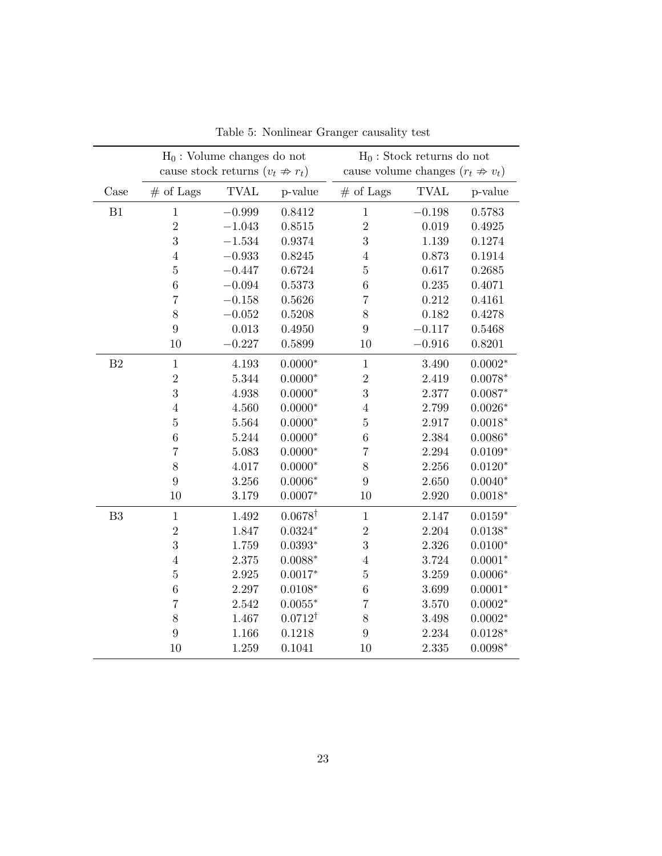|                | $H_0$ : Volume changes do not<br>cause stock returns $(v_t \nArr r_t)$ |             |                    | cause volume changes $(r_t \nArr v_t)$ | $H_0$ : Stock returns do not |           |
|----------------|------------------------------------------------------------------------|-------------|--------------------|----------------------------------------|------------------------------|-----------|
|                |                                                                        |             |                    |                                        |                              |           |
| Case           | $#$ of Lags                                                            | <b>TVAL</b> | p-value            | $#$ of Lags                            | <b>TVAL</b>                  | p-value   |
| B1             | $\mathbf 1$                                                            | $-0.999$    | 0.8412             | $\mathbf{1}$                           | $-0.198$                     | 0.5783    |
|                | $\overline{2}$                                                         | $-1.043$    | 0.8515             | $\overline{2}$                         | 0.019                        | 0.4925    |
|                | 3                                                                      | $-1.534$    | 0.9374             | 3                                      | 1.139                        | 0.1274    |
|                | $\bf 4$                                                                | $-0.933$    | 0.8245             | $\overline{4}$                         | 0.873                        | 0.1914    |
|                | $\bf 5$                                                                | $-0.447$    | 0.6724             | $\overline{5}$                         | 0.617                        | 0.2685    |
|                | $\overline{6}$                                                         | $-0.094$    | 0.5373             | $\overline{6}$                         | 0.235                        | 0.4071    |
|                | $\overline{7}$                                                         | $-0.158$    | 0.5626             | $\overline{7}$                         | 0.212                        | 0.4161    |
|                | 8                                                                      | $-0.052$    | 0.5208             | 8                                      | 0.182                        | 0.4278    |
|                | $\overline{9}$                                                         | 0.013       | 0.4950             | $\boldsymbol{9}$                       | $-0.117$                     | 0.5468    |
|                | 10                                                                     | $-0.227$    | 0.5899             | $10\,$                                 | $-0.916$                     | 0.8201    |
| B <sub>2</sub> | $\mathbf 1$                                                            | 4.193       | $0.0000*$          | $\mathbf 1$                            | 3.490                        | $0.0002*$ |
|                | $\overline{2}$                                                         | 5.344       | $0.0000*$          | $\overline{2}$                         | 2.419                        | $0.0078*$ |
|                | 3                                                                      | 4.938       | $0.0000*$          | 3                                      | 2.377                        | $0.0087*$ |
|                | $\bf 4$                                                                | 4.560       | $0.0000*$          | $\bf 4$                                | 2.799                        | $0.0026*$ |
|                | $\bf 5$                                                                | 5.564       | $0.0000*$          | $\overline{5}$                         | 2.917                        | $0.0018*$ |
|                | $\overline{6}$                                                         | 5.244       | $0.0000*$          | $\,6\,$                                | 2.384                        | $0.0086*$ |
|                | $\overline{7}$                                                         | 5.083       | $0.0000*$          | $\overline{7}$                         | 2.294                        | $0.0109*$ |
|                | 8                                                                      | 4.017       | $0.0000*$          | 8                                      | 2.256                        | $0.0120*$ |
|                | $\overline{9}$                                                         | 3.256       | $0.0006*$          | $9\phantom{.}$                         | 2.650                        | $0.0040*$ |
|                | 10                                                                     | 3.179       | $0.0007*$          | $10\,$                                 | 2.920                        | $0.0018*$ |
| B <sub>3</sub> | $\mathbf 1$                                                            | 1.492       | $0.0678^{\dagger}$ | $\mathbf 1$                            | 2.147                        | $0.0159*$ |
|                | $\overline{2}$                                                         | 1.847       | $0.0324*$          | $\overline{2}$                         | 2.204                        | $0.0138*$ |
|                | 3                                                                      | 1.759       | $0.0393*$          | 3                                      | 2.326                        | $0.0100*$ |
|                | $\bf 4$                                                                | 2.375       | $0.0088*$          | $\overline{4}$                         | 3.724                        | $0.0001*$ |
|                | $\bf 5$                                                                | 2.925       | $0.0017*$          | $\overline{5}$                         | 3.259                        | $0.0006*$ |
|                | $\overline{6}$                                                         | 2.297       | $0.0108*$          | $\,6\,$                                | 3.699                        | $0.0001*$ |
|                | $\overline{7}$                                                         | 2.542       | $0.0055*$          | $\overline{7}$                         | 3.570                        | $0.0002*$ |
|                | 8                                                                      | 1.467       | $0.0712^{\dagger}$ | $8\,$                                  | 3.498                        | $0.0002*$ |
|                | $\overline{9}$                                                         | 1.166       | 0.1218             | $9\phantom{.0}$                        | 2.234                        | $0.0128*$ |
|                | 10                                                                     | 1.259       | 0.1041             | 10                                     | 2.335                        | $0.0098*$ |

Table 5: Nonlinear Granger causality test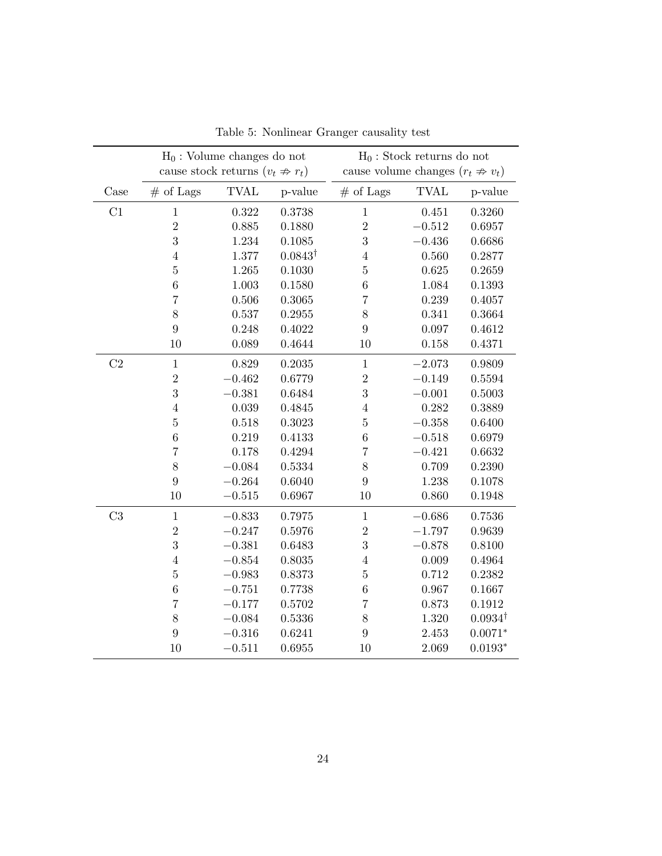|      | $H_0$ : Volume changes do not<br>cause stock returns $(v_t \nArr r_t)$ |             |                    |                                        | $H_0$ : Stock returns do not |                    |
|------|------------------------------------------------------------------------|-------------|--------------------|----------------------------------------|------------------------------|--------------------|
|      |                                                                        |             |                    | cause volume changes $(r_t \nArr v_t)$ |                              |                    |
| Case | $#$ of Lags                                                            | <b>TVAL</b> | p-value            | $#$ of Lags                            | <b>TVAL</b>                  | p-value            |
| C1   | $\mathbf{1}$                                                           | 0.322       | 0.3738             | $\mathbf{1}$                           | 0.451                        | 0.3260             |
|      | $\sqrt{2}$                                                             | 0.885       | 0.1880             | $\overline{2}$                         | $-0.512$                     | 0.6957             |
|      | 3                                                                      | 1.234       | 0.1085             | 3                                      | $-0.436$                     | 0.6686             |
|      | $\overline{4}$                                                         | 1.377       | $0.0843^{\dagger}$ | $\overline{4}$                         | 0.560                        | 0.2877             |
|      | $\bf 5$                                                                | 1.265       | 0.1030             | $\bf 5$                                | 0.625                        | 0.2659             |
|      | $\,6\,$                                                                | 1.003       | 0.1580             | $\boldsymbol{6}$                       | 1.084                        | 0.1393             |
|      | $\overline{7}$                                                         | 0.506       | 0.3065             | $\overline{7}$                         | 0.239                        | 0.4057             |
|      | 8                                                                      | 0.537       | 0.2955             | 8                                      | 0.341                        | 0.3664             |
|      | 9                                                                      | 0.248       | 0.4022             | 9                                      | 0.097                        | 0.4612             |
|      | 10                                                                     | 0.089       | 0.4644             | 10                                     | 0.158                        | 0.4371             |
| C2   | $\mathbf{1}$                                                           | 0.829       | 0.2035             | $\,1$                                  | $-2.073$                     | 0.9809             |
|      | $\sqrt{2}$                                                             | $-0.462$    | 0.6779             | $\overline{2}$                         | $-0.149$                     | 0.5594             |
|      | $\sqrt{3}$                                                             | $-0.381$    | 0.6484             | 3                                      | $-0.001$                     | 0.5003             |
|      | $\,4\,$                                                                | 0.039       | 0.4845             | $\overline{4}$                         | 0.282                        | 0.3889             |
|      | $\bf 5$                                                                | 0.518       | 0.3023             | $\overline{5}$                         | $-0.358$                     | 0.6400             |
|      | $\,6$                                                                  | 0.219       | 0.4133             | $\boldsymbol{6}$                       | $-0.518$                     | 0.6979             |
|      | $\overline{7}$                                                         | 0.178       | 0.4294             | $\overline{7}$                         | $-0.421$                     | 0.6632             |
|      | 8                                                                      | $-0.084$    | 0.5334             | 8                                      | 0.709                        | 0.2390             |
|      | 9                                                                      | $-0.264$    | 0.6040             | 9                                      | 1.238                        | 0.1078             |
|      | 10                                                                     | $-0.515$    | 0.6967             | 10                                     | 0.860                        | 0.1948             |
| C3   | $\,1\,$                                                                | $-0.833$    | 0.7975             | $\,1$                                  | $-0.686$                     | 0.7536             |
|      | $\overline{2}$                                                         | $-0.247$    | 0.5976             | $\overline{2}$                         | $-1.797$                     | 0.9639             |
|      | $\sqrt{3}$                                                             | $-0.381$    | 0.6483             | 3                                      | $-0.878$                     | 0.8100             |
|      | $\bf 4$                                                                | $-0.854$    | 0.8035             | $\overline{4}$                         | 0.009                        | 0.4964             |
|      | $\bf 5$                                                                | $-0.983$    | 0.8373             | $\overline{5}$                         | 0.712                        | 0.2382             |
|      | $\,6$                                                                  | $-0.751$    | 0.7738             | $6\phantom{.}6$                        | 0.967                        | 0.1667             |
|      | $\overline{7}$                                                         | $-0.177$    | 0.5702             | $\overline{7}$                         | 0.873                        | 0.1912             |
|      | 8                                                                      | $-0.084$    | 0.5336             | 8                                      | 1.320                        | $0.0934^{\dagger}$ |
|      | 9                                                                      | $-0.316$    | 0.6241             | 9                                      | 2.453                        | $0.0071*$          |
|      | 10                                                                     | $-0.511$    | 0.6955             | 10                                     | 2.069                        | $0.0193*$          |

Table 5: Nonlinear Granger causality test